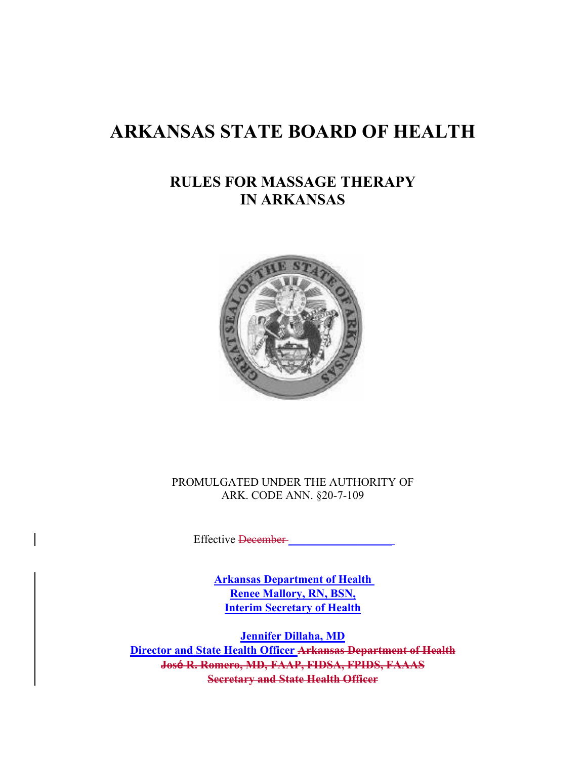# **ARKANSAS STATE BOARD OF HEALTH**

# **RULES FOR MASSAGE THERAPY IN ARKANSAS**



PROMULGATED UNDER THE AUTHORITY OF ARK. CODE ANN. §20-7-109

Effective <del>December</del>

**Arkansas Department of Health Renee Mallory, RN, BSN, Interim Secretary of Health**

**Jennifer Dillaha, MD Director and State Health Officer Arkansas Department of Health José R. Romero, MD, FAAP, FIDSA, FPIDS, FAAAS Secretary and State Health Officer**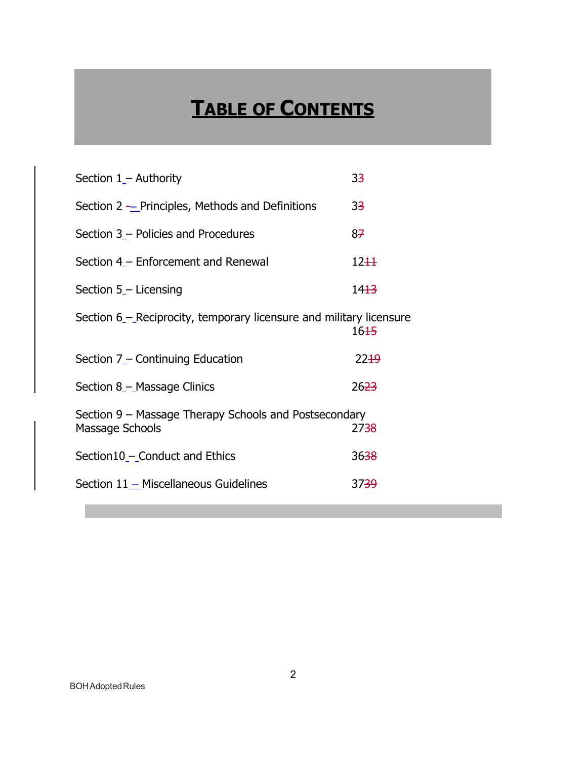# **TABLE OF CONTENTS**

| Section $1 -$ Authority                                                  | 33               |
|--------------------------------------------------------------------------|------------------|
| Section 2 $-$ Principles, Methods and Definitions                        | 33               |
| Section 3 – Policies and Procedures                                      | 87               |
| Section 4 – Enforcement and Renewal                                      | 12 <del>11</del> |
| Section 5_- Licensing                                                    | 14 <del>13</del> |
| Section 6 – Reciprocity, temporary licensure and military licensure      | 16 <del>15</del> |
| Section 7 – Continuing Education                                         | 22 <sup>19</sup> |
| Section 8 - Massage Clinics                                              | 26 <del>23</del> |
| Section 9 – Massage Therapy Schools and Postsecondary<br>Massage Schools | 27 <del>38</del> |
| Section10 – Conduct and Ethics                                           | 3638             |
| Section 11 - Miscellaneous Guidelines                                    | 37 <del>39</del> |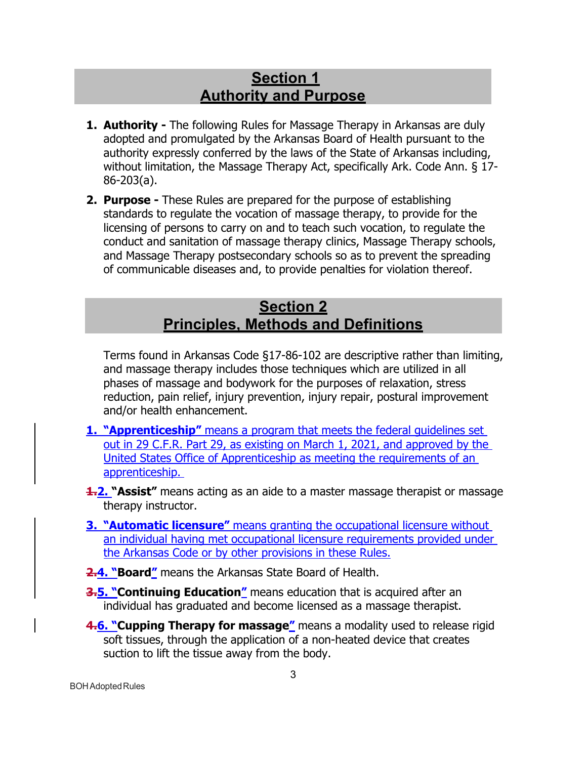# **Section 1 Authority and Purpose**

- <span id="page-2-0"></span>**1. Authority -** The following Rules for Massage Therapy in Arkansas are duly adopted and promulgated by the Arkansas Board of Health pursuant to the authority expressly conferred by the laws of the State of Arkansas including, without limitation, the Massage Therapy Act, specifically Ark. Code Ann. § 17- 86-203(a).
- **2. Purpose -** These Rules are prepared for the purpose of establishing standards to regulate the vocation of massage therapy, to provide for the licensing of persons to carry on and to teach such vocation, to regulate the conduct and sanitation of massage therapy clinics, Massage Therapy schools, and Massage Therapy postsecondary schools so as to prevent the spreading of communicable diseases and, to provide penalties for violation thereof.

# **Section 2 Principles, Methods and Definitions**

Terms found in Arkansas Code §17-86-102 are descriptive rather than limiting, and massage therapy includes those techniques which are utilized in all phases of massage and bodywork for the purposes of relaxation, stress reduction, pain relief, injury prevention, injury repair, postural improvement and/or health enhancement.

- <span id="page-2-1"></span>**1. "Apprenticeship"** means a program that meets the federal guidelines set out in 29 C.F.R. Part 29, as existing on March 1, 2021, and approved by the United States Office of Apprenticeship as meeting the requirements of an apprenticeship.
- **1.2. "Assist"** means acting as an aide to a master massage therapist or massage therapy instructor.
- **3. "Automatic licensure"** means granting the occupational licensure without an individual having met occupational licensure requirements provided under the Arkansas Code or by other provisions in these Rules.
- **2.4. "Board"** means the Arkansas State Board of Health.
- **3.5. "Continuing Education"** means education that is acquired after an individual has graduated and become licensed as a massage therapist.
- **4.6. "Cupping Therapy for massage"** means a modality used to release rigid soft tissues, through the application of a non-heated device that creates suction to lift the tissue away from the body.

**BOH** Adopted Rules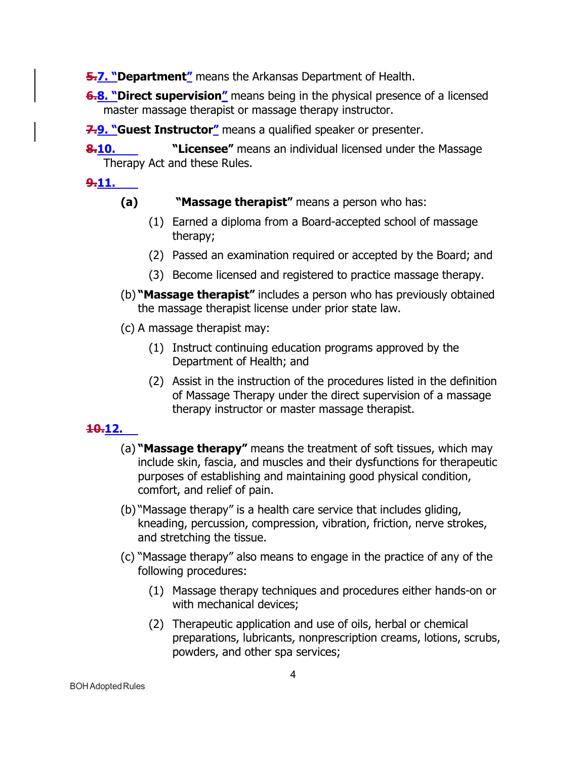**5.7. "Department"** means the Arkansas Department of Health.

**6.8. "Direct supervision"** means being in the physical presence of a licensed master massage therapist or massage therapy instructor.

**7.9. "Guest Instructor"** means a qualified speaker or presenter.

**8.10. "Licensee"** means an individual licensed under the Massage Therapy Act and these Rules.

**9.11.**

- **(a) "Massage therapist"** means a person who has:
	- (1) Earned a diploma from a Board-accepted school of massage therapy;
	- (2) Passed an examination required or accepted by the Board; and
	- (3) Become licensed and registered to practice massage therapy.
- (b) **"Massage therapist"** includes a person who has previously obtained the massage therapist license under prior state law.
- (c) A massage therapist may:
	- (1) Instruct continuing education programs approved by the Department of Health; and
	- (2) Assist in the instruction of the procedures listed in the definition of Massage Therapy under the direct supervision of a massage therapy instructor or master massage therapist.

## **10.12.**

- (a) **"Massage therapy"** means the treatment of soft tissues, which may include skin, fascia, and muscles and their dysfunctions for therapeutic purposes of establishing and maintaining good physical condition, comfort, and relief of pain.
- (b) "Massage therapy" is a health care service that includes gliding, kneading, percussion, compression, vibration, friction, nerve strokes, and stretching the tissue.
- (c) "Massage therapy" also means to engage in the practice of any of the following procedures:
	- (1) Massage therapy techniques and procedures either hands-on or with mechanical devices;
	- (2) Therapeutic application and use of oils, herbal or chemical preparations, lubricants, nonprescription creams, lotions, scrubs, powders, and other spa services;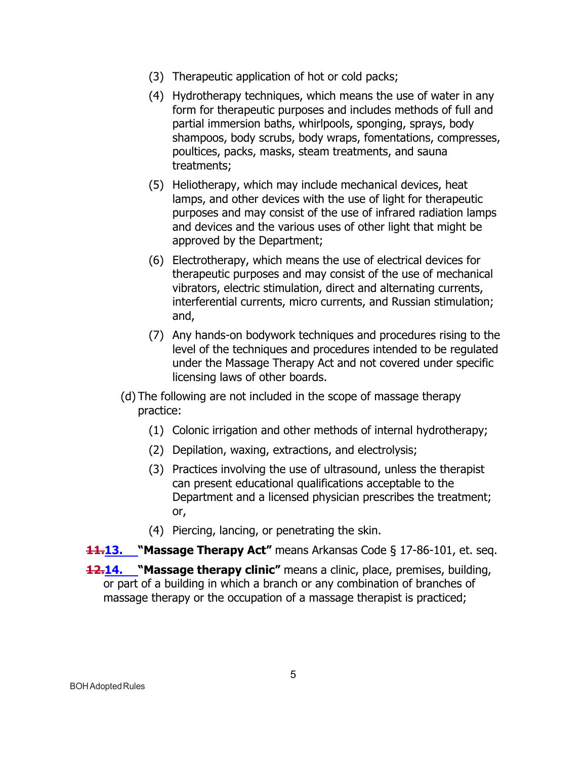- (3) Therapeutic application of hot or cold packs;
- (4) Hydrotherapy techniques, which means the use of water in any form for therapeutic purposes and includes methods of full and partial immersion baths, whirlpools, sponging, sprays, body shampoos, body scrubs, body wraps, fomentations, compresses, poultices, packs, masks, steam treatments, and sauna treatments;
- (5) Heliotherapy, which may include mechanical devices, heat lamps, and other devices with the use of light for therapeutic purposes and may consist of the use of infrared radiation lamps and devices and the various uses of other light that might be approved by the Department;
- (6) Electrotherapy, which means the use of electrical devices for therapeutic purposes and may consist of the use of mechanical vibrators, electric stimulation, direct and alternating currents, interferential currents, micro currents, and Russian stimulation; and,
- (7) Any hands-on bodywork techniques and procedures rising to the level of the techniques and procedures intended to be regulated under the Massage Therapy Act and not covered under specific licensing laws of other boards.
- (d) The following are not included in the scope of massage therapy practice:
	- (1) Colonic irrigation and other methods of internal hydrotherapy;
	- (2) Depilation, waxing, extractions, and electrolysis;
	- (3) Practices involving the use of ultrasound, unless the therapist can present educational qualifications acceptable to the Department and a licensed physician prescribes the treatment; or,
	- (4) Piercing, lancing, or penetrating the skin.
- **11.13. "Massage Therapy Act"** means Arkansas Code § 17-86-101, et. seq.
- **12.14. "Massage therapy clinic"** means a clinic, place, premises, building, or part of a building in which a branch or any combination of branches of massage therapy or the occupation of a massage therapist is practiced;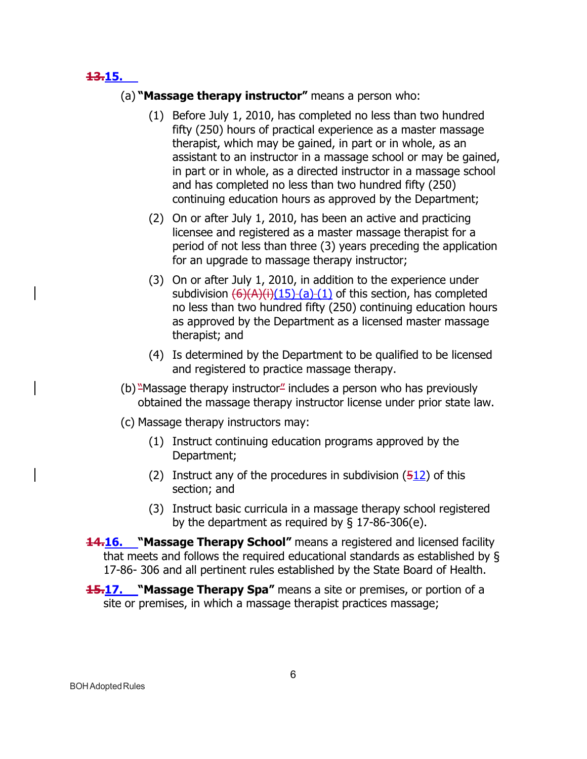**13.15.**

#### (a) **"Massage therapy instructor"** means a person who:

- (1) Before July 1, 2010, has completed no less than two hundred fifty (250) hours of practical experience as a master massage therapist, which may be gained, in part or in whole, as an assistant to an instructor in a massage school or may be gained, in part or in whole, as a directed instructor in a massage school and has completed no less than two hundred fifty (250) continuing education hours as approved by the Department;
- (2) On or after July 1, 2010, has been an active and practicing licensee and registered as a master massage therapist for a period of not less than three (3) years preceding the application for an upgrade to massage therapy instructor;
- (3) On or after July 1, 2010, in addition to the experience under subdivision  $(6)(A)(i)(15)$ -(a)-(1) of this section, has completed no less than two hundred fifty (250) continuing education hours as approved by the Department as a licensed master massage therapist; and
- (4) Is determined by the Department to be qualified to be licensed and registered to practice massage therapy.
- (b) "Massage therapy instructor" includes a person who has previously obtained the massage therapy instructor license under prior state law.
- (c) Massage therapy instructors may:
	- (1) Instruct continuing education programs approved by the Department;
	- (2) Instruct any of the procedures in subdivision  $(512)$  of this section; and
	- (3) Instruct basic curricula in a massage therapy school registered by the department as required by  $\S$  17-86-306(e).
- **14.16. "Massage Therapy School"** means a registered and licensed facility that meets and follows the required educational standards as established by § 17-86- 306 and all pertinent rules established by the State Board of Health.
- **15.17.** "Massage Therapy Spa" means a site or premises, or portion of a site or premises, in which a massage therapist practices massage;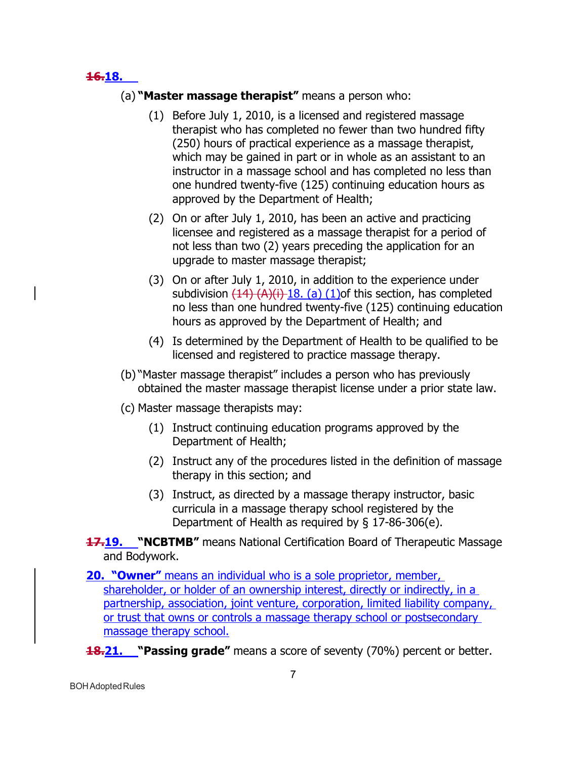#### **16.18.**

- (a) **"Master massage therapist"** means a person who:
	- (1) Before July 1, 2010, is a licensed and registered massage therapist who has completed no fewer than two hundred fifty (250) hours of practical experience as a massage therapist, which may be gained in part or in whole as an assistant to an instructor in a massage school and has completed no less than one hundred twenty-five (125) continuing education hours as approved by the Department of Health;
	- (2) On or after July 1, 2010, has been an active and practicing licensee and registered as a massage therapist for a period of not less than two (2) years preceding the application for an upgrade to master massage therapist;
	- (3) On or after July 1, 2010, in addition to the experience under subdivision  $(14)$   $(A)(i)$  18. (a) (1) of this section, has completed no less than one hundred twenty-five (125) continuing education hours as approved by the Department of Health; and
	- (4) Is determined by the Department of Health to be qualified to be licensed and registered to practice massage therapy.
- (b) "Master massage therapist" includes a person who has previously obtained the master massage therapist license under a prior state law.
- (c) Master massage therapists may:
	- (1) Instruct continuing education programs approved by the Department of Health;
	- (2) Instruct any of the procedures listed in the definition of massage therapy in this section; and
	- (3) Instruct, as directed by a massage therapy instructor, basic curricula in a massage therapy school registered by the Department of Health as required by § 17-86-306(e).
- **17.19. "NCBTMB"** means National Certification Board of Therapeutic Massage and Bodywork.
- **20. "Owner"** means an individual who is a sole proprietor, member, shareholder, or holder of an ownership interest, directly or indirectly, in a partnership, association, joint venture, corporation, limited liability company, or trust that owns or controls a massage therapy school or postsecondary massage therapy school.
- **18.21. "Passing grade"** means a score of seventy (70%) percent or better.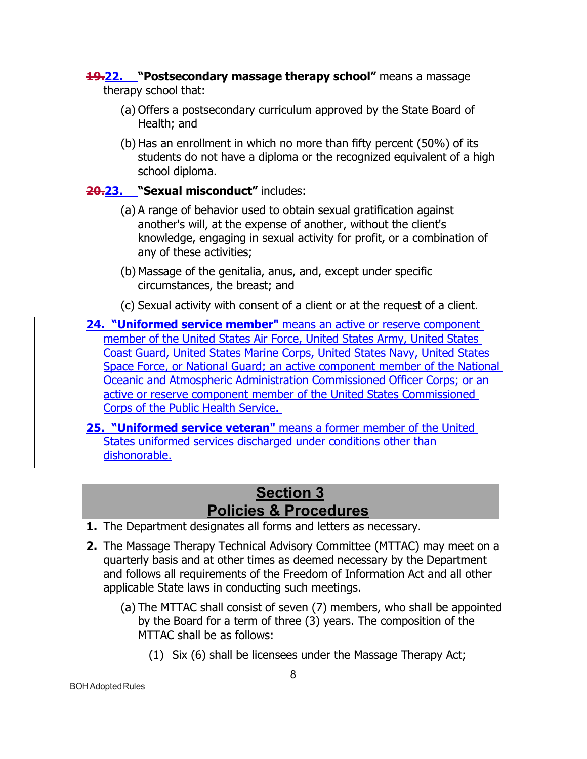#### **19.22. "Postsecondary massage therapy school"** means a massage therapy school that:

- (a) Offers a postsecondary curriculum approved by the State Board of Health; and
- (b) Has an enrollment in which no more than fifty percent (50%) of its students do not have a diploma or the recognized equivalent of a high school diploma.

## **20.23. "Sexual misconduct"** includes:

- (a) A range of behavior used to obtain sexual gratification against another's will, at the expense of another, without the client's knowledge, engaging in sexual activity for profit, or a combination of any of these activities;
- (b) Massage of the genitalia, anus, and, except under specific circumstances, the breast; and
- (c) Sexual activity with consent of a client or at the request of a client.
- **24. "Uniformed service member"** means an active or reserve component member of the United States Air Force, United States Army, United States Coast Guard, United States Marine Corps, United States Navy, United States Space Force, or National Guard; an active component member of the National Oceanic and Atmospheric Administration Commissioned Officer Corps; or an active or reserve component member of the United States Commissioned Corps of the Public Health Service.
- **25. "Uniformed service veteran"** means a former member of the United States uniformed services discharged under conditions other than dishonorable.

# **Section 3 Policies & Procedures**

- <span id="page-7-0"></span>**1.** The Department designates all forms and letters as necessary.
- **2.** The Massage Therapy Technical Advisory Committee (MTTAC) may meet on a quarterly basis and at other times as deemed necessary by the Department and follows all requirements of the Freedom of Information Act and all other applicable State laws in conducting such meetings.
	- (a) The MTTAC shall consist of seven (7) members, who shall be appointed by the Board for a term of three (3) years. The composition of the MTTAC shall be as follows:
		- (1) Six (6) shall be licensees under the Massage Therapy Act;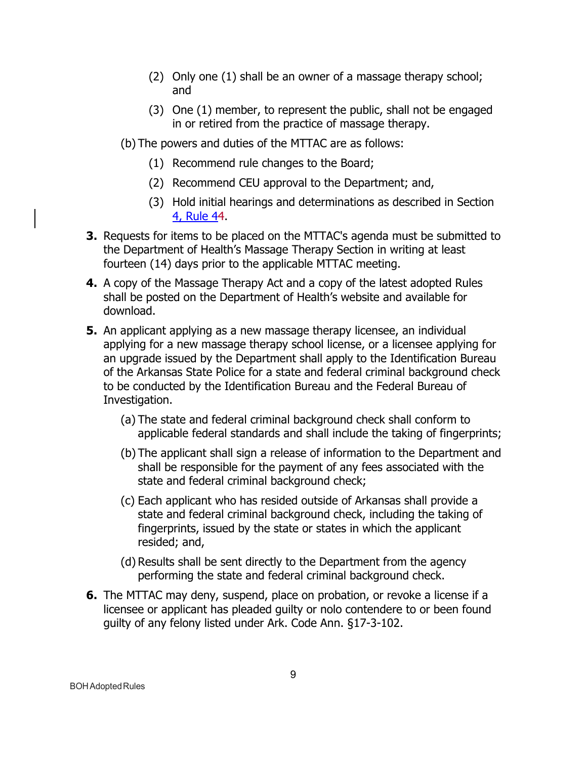- (2) Only one (1) shall be an owner of a massage therapy school; and
- (3) One (1) member, to represent the public, shall not be engaged in or retired from the practice of massage therapy.
- (b) The powers and duties of the MTTAC are as follows:
	- (1) Recommend rule changes to the Board;
	- (2) Recommend CEU approval to the Department; and,
	- (3) Hold initial hearings and determinations as described in Section 4, Rule 44.
- **3.** Requests for items to be placed on the MTTAC's agenda must be submitted to the Department of Health's Massage Therapy Section in writing at least fourteen (14) days prior to the applicable MTTAC meeting.
- **4.** A copy of the Massage Therapy Act and a copy of the latest adopted Rules shall be posted on the Department of Health's website and available for download.
- **5.** An applicant applying as a new massage therapy licensee, an individual applying for a new massage therapy school license, or a licensee applying for an upgrade issued by the Department shall apply to the Identification Bureau of the Arkansas State Police for a state and federal criminal background check to be conducted by the Identification Bureau and the Federal Bureau of Investigation.
	- (a) The state and federal criminal background check shall conform to applicable federal standards and shall include the taking of fingerprints;
	- (b) The applicant shall sign a release of information to the Department and shall be responsible for the payment of any fees associated with the state and federal criminal background check;
	- (c) Each applicant who has resided outside of Arkansas shall provide a state and federal criminal background check, including the taking of fingerprints, issued by the state or states in which the applicant resided; and,
	- (d) Results shall be sent directly to the Department from the agency performing the state and federal criminal background check.
- **6.** The MTTAC may deny, suspend, place on probation, or revoke a license if a licensee or applicant has pleaded guilty or nolo contendere to or been found guilty of any felony listed under Ark. Code Ann. §17-3-102.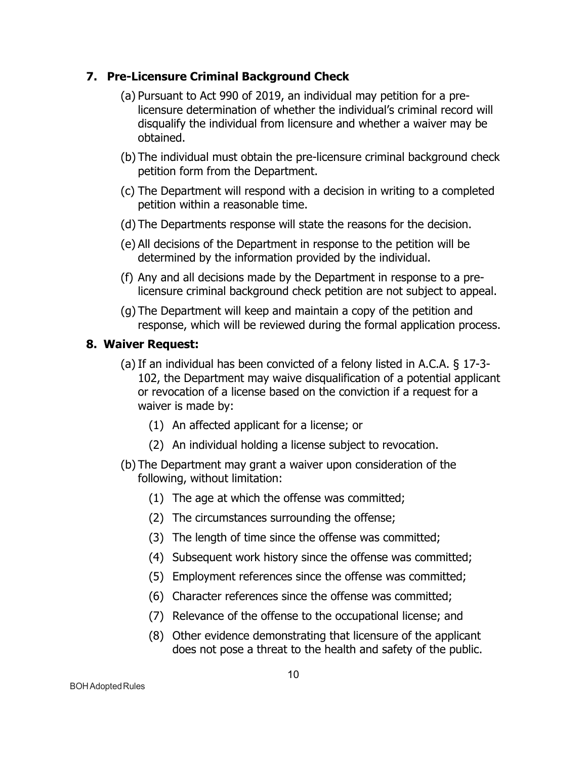#### **7. Pre-Licensure Criminal Background Check**

- (a) Pursuant to Act 990 of 2019, an individual may petition for a prelicensure determination of whether the individual's criminal record will disqualify the individual from licensure and whether a waiver may be obtained.
- (b) The individual must obtain the pre-licensure criminal background check petition form from the Department.
- (c) The Department will respond with a decision in writing to a completed petition within a reasonable time.
- (d) The Departments response will state the reasons for the decision.
- (e) All decisions of the Department in response to the petition will be determined by the information provided by the individual.
- (f) Any and all decisions made by the Department in response to a prelicensure criminal background check petition are not subject to appeal.
- (g) The Department will keep and maintain a copy of the petition and response, which will be reviewed during the formal application process.

## **8. Waiver Request:**

- (a) If an individual has been convicted of a felony listed in A.C.A. § 17-3- 102, the Department may waive disqualification of a potential applicant or revocation of a license based on the conviction if a request for a waiver is made by:
	- (1) An affected applicant for a license; or
	- (2) An individual holding a license subject to revocation.
- (b) The Department may grant a waiver upon consideration of the following, without limitation:
	- (1) The age at which the offense was committed;
	- (2) The circumstances surrounding the offense;
	- (3) The length of time since the offense was committed;
	- (4) Subsequent work history since the offense was committed;
	- (5) Employment references since the offense was committed;
	- (6) Character references since the offense was committed;
	- (7) Relevance of the offense to the occupational license; and
	- (8) Other evidence demonstrating that licensure of the applicant does not pose a threat to the health and safety of the public.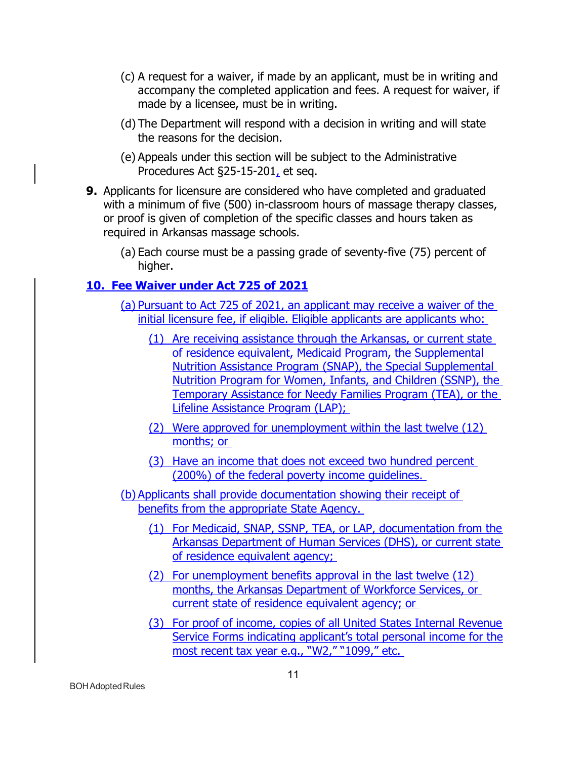- (c) A request for a waiver, if made by an applicant, must be in writing and accompany the completed application and fees. A request for waiver, if made by a licensee, must be in writing.
- (d) The Department will respond with a decision in writing and will state the reasons for the decision.
- (e) Appeals under this section will be subject to the Administrative Procedures Act §25-15-201, et seq.
- **9.** Applicants for licensure are considered who have completed and graduated with a minimum of five (500) in-classroom hours of massage therapy classes, or proof is given of completion of the specific classes and hours taken as required in Arkansas massage schools.
	- (a) Each course must be a passing grade of seventy-five (75) percent of higher.

## **10. Fee Waiver under Act 725 of 2021**

- (a) Pursuant to Act 725 of 2021, an applicant may receive a waiver of the initial licensure fee, if eligible. Eligible applicants are applicants who:
	- (1) Are receiving assistance through the Arkansas, or current state of residence equivalent, Medicaid Program, the Supplemental Nutrition Assistance Program (SNAP), the Special Supplemental Nutrition Program for Women, Infants, and Children (SSNP), the Temporary Assistance for Needy Families Program (TEA), or the Lifeline Assistance Program (LAP);
	- (2) Were approved for unemployment within the last twelve (12) months; or
	- (3) Have an income that does not exceed two hundred percent (200%) of the federal poverty income guidelines.
- (b) Applicants shall provide documentation showing their receipt of benefits from the appropriate State Agency.
	- (1) For Medicaid, SNAP, SSNP, TEA, or LAP, documentation from the Arkansas Department of Human Services (DHS), or current state of residence equivalent agency;
	- (2) For unemployment benefits approval in the last twelve (12) months, the Arkansas Department of Workforce Services, or current state of residence equivalent agency; or
	- (3) For proof of income, copies of all United States Internal Revenue Service Forms indicating applicant's total personal income for the most recent tax year e.g., "W2," "1099," etc.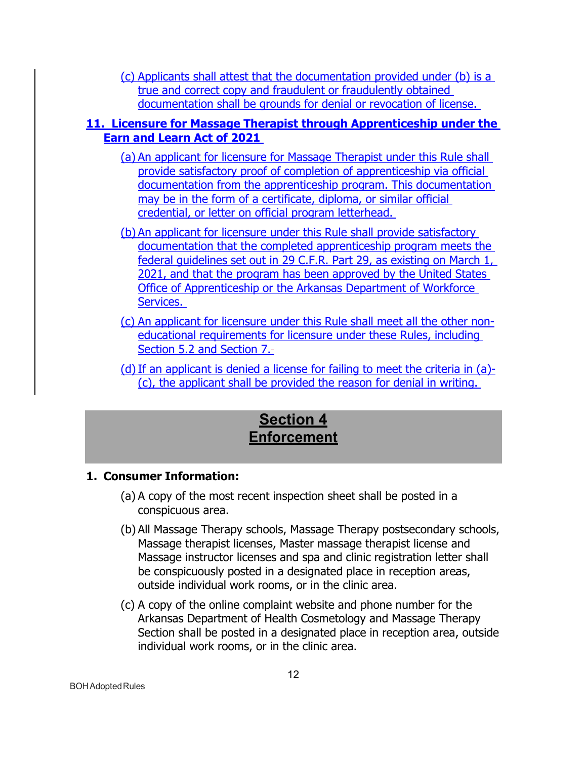(c) Applicants shall attest that the documentation provided under (b) is a true and correct copy and fraudulent or fraudulently obtained documentation shall be grounds for denial or revocation of license.

## **11. Licensure for Massage Therapist through Apprenticeship under the Earn and Learn Act of 2021**

- (a) An applicant for licensure for Massage Therapist under this Rule shall provide satisfactory proof of completion of apprenticeship via official documentation from the apprenticeship program. This documentation may be in the form of a certificate, diploma, or similar official credential, or letter on official program letterhead.
- (b) An applicant for licensure under this Rule shall provide satisfactory documentation that the completed apprenticeship program meets the federal guidelines set out in 29 C.F.R. Part 29, as existing on March 1, 2021, and that the program has been approved by the United States Office of Apprenticeship or the Arkansas Department of Workforce Services.
- (c) An applicant for licensure under this Rule shall meet all the other noneducational requirements for licensure under these Rules, including Section 5.2 and Section 7.
- (d)If an applicant is denied a license for failing to meet the criteria in (a)- (c), the applicant shall be provided the reason for denial in writing.

# **Section 4 Enforcement**

## <span id="page-11-0"></span>**1. Consumer Information:**

- (a) A copy of the most recent inspection sheet shall be posted in a conspicuous area.
- (b) All Massage Therapy schools, Massage Therapy postsecondary schools, Massage therapist licenses, Master massage therapist license and Massage instructor licenses and spa and clinic registration letter shall be conspicuously posted in a designated place in reception areas, outside individual work rooms, or in the clinic area.
- (c) A copy of the online complaint website and phone number for the Arkansas Department of Health Cosmetology and Massage Therapy Section shall be posted in a designated place in reception area, outside individual work rooms, or in the clinic area.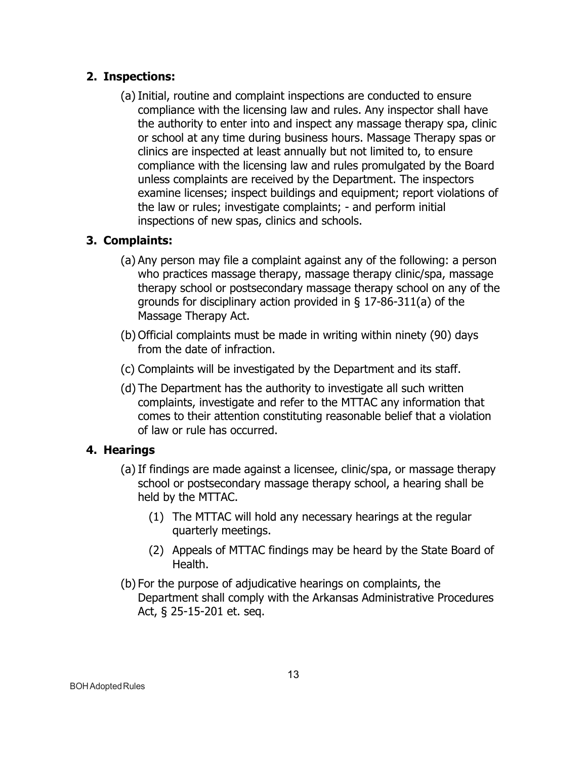## **2. Inspections:**

(a) Initial, routine and complaint inspections are conducted to ensure compliance with the licensing law and rules. Any inspector shall have the authority to enter into and inspect any massage therapy spa, clinic or school at any time during business hours. Massage Therapy spas or clinics are inspected at least annually but not limited to, to ensure compliance with the licensing law and rules promulgated by the Board unless complaints are received by the Department. The inspectors examine licenses; inspect buildings and equipment; report violations of the law or rules; investigate complaints; - and perform initial inspections of new spas, clinics and schools.

## **3. Complaints:**

- (a) Any person may file a complaint against any of the following: a person who practices massage therapy, massage therapy clinic/spa, massage therapy school or postsecondary massage therapy school on any of the grounds for disciplinary action provided in § 17-86-311(a) of the Massage Therapy Act.
- (b) Official complaints must be made in writing within ninety (90) days from the date of infraction.
- (c) Complaints will be investigated by the Department and its staff.
- (d) The Department has the authority to investigate all such written complaints, investigate and refer to the MTTAC any information that comes to their attention constituting reasonable belief that a violation of law or rule has occurred.

## **4. Hearings**

- (a) If findings are made against a licensee, clinic/spa, or massage therapy school or postsecondary massage therapy school, a hearing shall be held by the MTTAC.
	- (1) The MTTAC will hold any necessary hearings at the regular quarterly meetings.
	- (2) Appeals of MTTAC findings may be heard by the State Board of Health.
- (b) For the purpose of adjudicative hearings on complaints, the Department shall comply with the Arkansas Administrative Procedures Act, § 25-15-201 et. seq.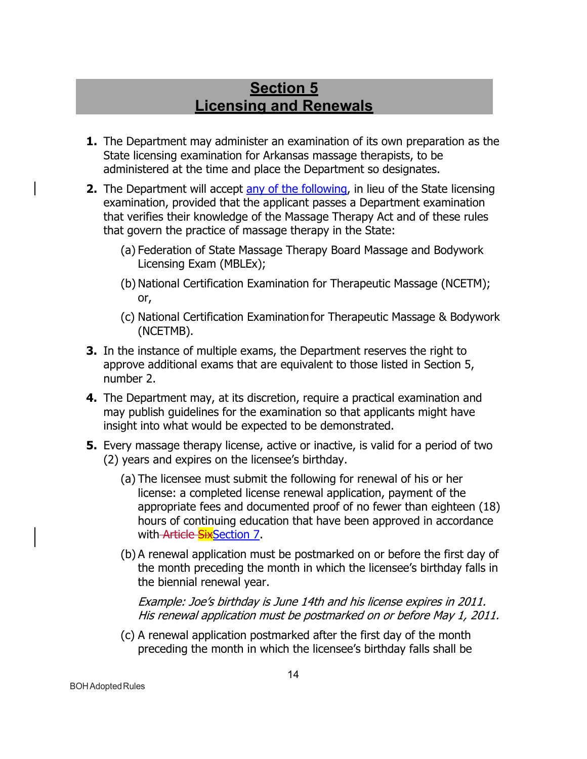# **Section 5 Licensing and Renewals**

- <span id="page-13-0"></span>**1.** The Department may administer an examination of its own preparation as the State licensing examination for Arkansas massage therapists, to be administered at the time and place the Department so designates.
- **2.** The Department will accept any of the following, in lieu of the State licensing examination, provided that the applicant passes a Department examination that verifies their knowledge of the Massage Therapy Act and of these rules that govern the practice of massage therapy in the State:
	- (a) Federation of State Massage Therapy Board Massage and Bodywork Licensing Exam (MBLEx);
	- (b) National Certification Examination for Therapeutic Massage (NCETM); or,
	- (c) National Certification Examinationfor Therapeutic Massage & Bodywork (NCETMB).
- **3.** In the instance of multiple exams, the Department reserves the right to approve additional exams that are equivalent to those listed in Section 5, number 2.
- **4.** The Department may, at its discretion, require a practical examination and may publish guidelines for the examination so that applicants might have insight into what would be expected to be demonstrated.
- **5.** Every massage therapy license, active or inactive, is valid for a period of two (2) years and expires on the licensee's birthday.
	- (a) The licensee must submit the following for renewal of his or her license: a completed license renewal application, payment of the appropriate fees and documented proof of no fewer than eighteen (18) hours of continuing education that have been approved in accordance with Article SixSection 7.
	- (b) A renewal application must be postmarked on or before the first day of the month preceding the month in which the licensee's birthday falls in the biennial renewal year.

Example: Joe's birthday is June 14th and his license expires in 2011. His renewal application must be postmarked on or before May 1, 2011.

(c) A renewal application postmarked after the first day of the month preceding the month in which the licensee's birthday falls shall be

BOHAdoptedRules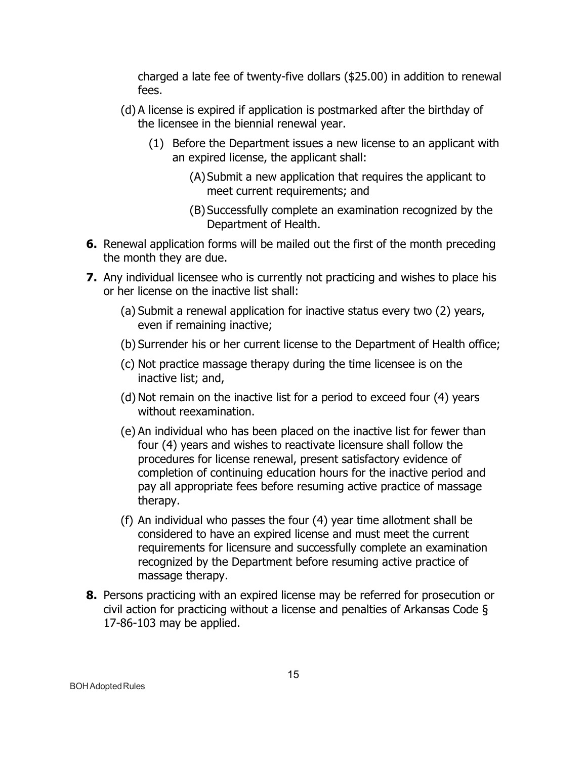charged a late fee of twenty-five dollars (\$25.00) in addition to renewal fees.

- (d) A license is expired if application is postmarked after the birthday of the licensee in the biennial renewal year.
	- (1) Before the Department issues a new license to an applicant with an expired license, the applicant shall:
		- (A)Submit a new application that requires the applicant to meet current requirements; and
		- (B) Successfully complete an examination recognized by the Department of Health.
- **6.** Renewal application forms will be mailed out the first of the month preceding the month they are due.
- **7.** Any individual licensee who is currently not practicing and wishes to place his or her license on the inactive list shall:
	- (a) Submit a renewal application for inactive status every two (2) years, even if remaining inactive;
	- (b) Surrender his or her current license to the Department of Health office;
	- (c) Not practice massage therapy during the time licensee is on the inactive list; and,
	- (d) Not remain on the inactive list for a period to exceed four (4) years without reexamination.
	- (e) An individual who has been placed on the inactive list for fewer than four (4) years and wishes to reactivate licensure shall follow the procedures for license renewal, present satisfactory evidence of completion of continuing education hours for the inactive period and pay all appropriate fees before resuming active practice of massage therapy.
	- (f) An individual who passes the four (4) year time allotment shall be considered to have an expired license and must meet the current requirements for licensure and successfully complete an examination recognized by the Department before resuming active practice of massage therapy.
- **8.** Persons practicing with an expired license may be referred for prosecution or civil action for practicing without a license and penalties of Arkansas Code § 17-86-103 may be applied.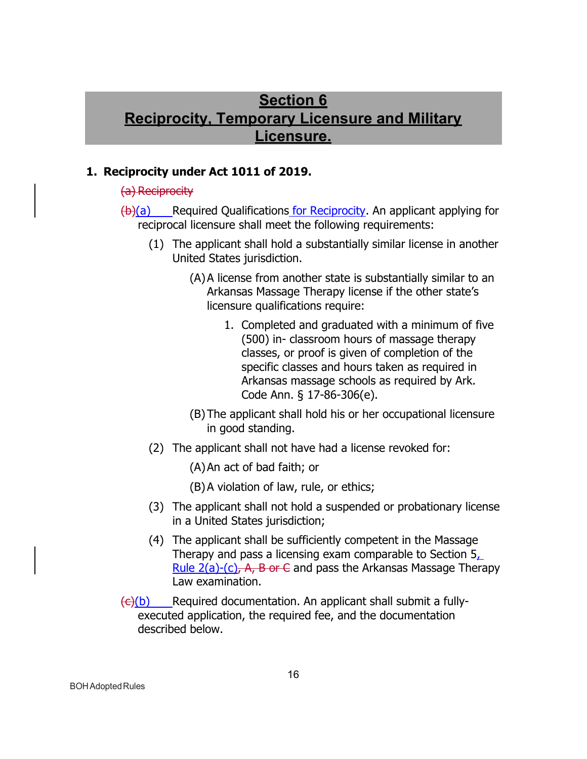# **Section 6 Reciprocity, Temporary Licensure and Military Licensure.**

#### <span id="page-15-0"></span>**1. Reciprocity under Act 1011 of 2019.**

#### (a) Reciprocity

 $(b)(a)$  Required Qualifications for Reciprocity. An applicant applying for reciprocal licensure shall meet the following requirements:

- (1) The applicant shall hold a substantially similar license in another United States jurisdiction.
	- (A)A license from another state is substantially similar to an Arkansas Massage Therapy license if the other state's licensure qualifications require:
		- 1. Completed and graduated with a minimum of five (500) in- classroom hours of massage therapy classes, or proof is given of completion of the specific classes and hours taken as required in Arkansas massage schools as required by Ark. Code Ann. § 17-86-306(e).
	- (B) The applicant shall hold his or her occupational licensure in good standing.
- (2) The applicant shall not have had a license revoked for:

(A)An act of bad faith; or

- (B)A violation of law, rule, or ethics;
- (3) The applicant shall not hold a suspended or probationary license in a United States jurisdiction;
- (4) The applicant shall be sufficiently competent in the Massage Therapy and pass a licensing exam comparable to Section 5, Rule  $2(a)-(c)$ , A, B or C and pass the Arkansas Massage Therapy Law examination.
- $\left(\frac{c}{b}\right)$  Required documentation. An applicant shall submit a fullyexecuted application, the required fee, and the documentation described below.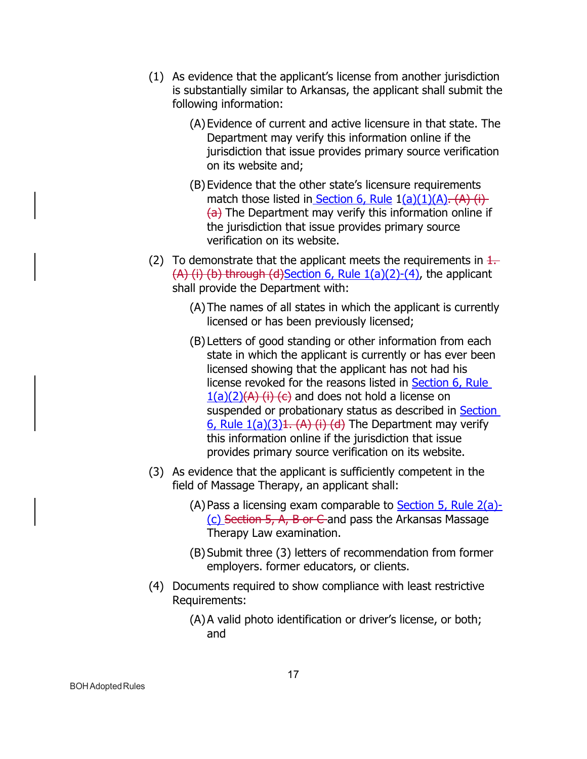- (1) As evidence that the applicant's license from another jurisdiction is substantially similar to Arkansas, the applicant shall submit the following information:
	- (A)Evidence of current and active licensure in that state. The Department may verify this information online if the jurisdiction that issue provides primary source verification on its website and;
	- (B) Evidence that the other state's licensure requirements match those listed in Section 6, Rule  $1(a)(1)(A)$ . (A) (i)  $(a)$  The Department may verify this information online if the jurisdiction that issue provides primary source verification on its website.
- (2) To demonstrate that the applicant meets the requirements in  $\frac{1}{1}$ .  $(A)$  (i) (b) through (d)Section 6, Rule  $1(a)(2)-(4)$ , the applicant shall provide the Department with:
	- (A)The names of all states in which the applicant is currently licensed or has been previously licensed;
	- (B) Letters of good standing or other information from each state in which the applicant is currently or has ever been licensed showing that the applicant has not had his license revoked for the reasons listed in Section 6, Rule  $1(a)(2)(A)$  (i) (c) and does not hold a license on suspended or probationary status as described in Section  $6,$  Rule  $1(a)(3)1.$  (A) (i) (d) The Department may verify this information online if the jurisdiction that issue provides primary source verification on its website.
- (3) As evidence that the applicant is sufficiently competent in the field of Massage Therapy, an applicant shall:
	- $(A)$  Pass a licensing exam comparable to **Section 5, Rule 2(a)-** $(c)$  Section 5, A, B or C and pass the Arkansas Massage Therapy Law examination.
	- (B) Submit three (3) letters of recommendation from former employers. former educators, or clients.
- (4) Documents required to show compliance with least restrictive Requirements:
	- (A)A valid photo identification or driver's license, or both; and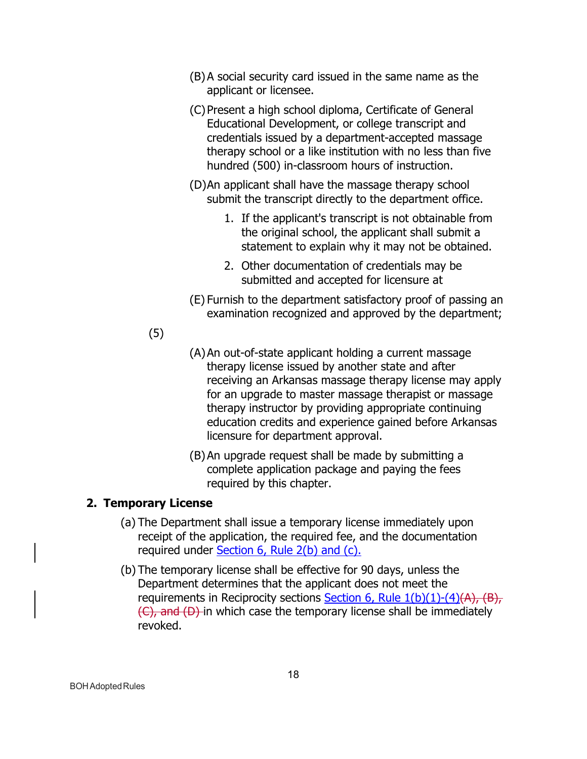- (B)A social security card issued in the same name as the applicant or licensee.
- (C)Present a high school diploma, Certificate of General Educational Development, or college transcript and credentials issued by a department-accepted massage therapy school or a like institution with no less than five hundred (500) in-classroom hours of instruction.
- (D)An applicant shall have the massage therapy school submit the transcript directly to the department office.
	- 1. If the applicant's transcript is not obtainable from the original school, the applicant shall submit a statement to explain why it may not be obtained.
	- 2. Other documentation of credentials may be submitted and accepted for licensure at
- (E) Furnish to the department satisfactory proof of passing an examination recognized and approved by the department;

## (5)

- (A)An out-of-state applicant holding a current massage therapy license issued by another state and after receiving an Arkansas massage therapy license may apply for an upgrade to master massage therapist or massage therapy instructor by providing appropriate continuing education credits and experience gained before Arkansas licensure for department approval.
- (B)An upgrade request shall be made by submitting a complete application package and paying the fees required by this chapter.

## **2. Temporary License**

- (a) The Department shall issue a temporary license immediately upon receipt of the application, the required fee, and the documentation required under Section 6, Rule 2(b) and (c).
- (b) The temporary license shall be effective for 90 days, unless the Department determines that the applicant does not meet the requirements in Reciprocity sections Section 6, Rule  $1(b)(1)-(4)(A)$ ,  $(B)$ , (C), and (D) in which case the temporary license shall be immediately revoked.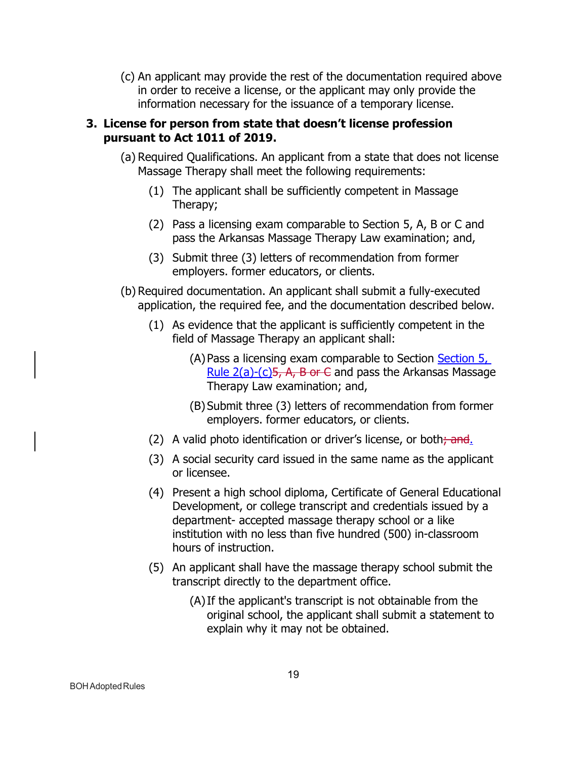(c) An applicant may provide the rest of the documentation required above in order to receive a license, or the applicant may only provide the information necessary for the issuance of a temporary license.

#### **3. License for person from state that doesn't license profession pursuant to Act 1011 of 2019.**

- (a) Required Qualifications. An applicant from a state that does not license Massage Therapy shall meet the following requirements:
	- (1) The applicant shall be sufficiently competent in Massage Therapy;
	- (2) Pass a licensing exam comparable to Section 5, A, B or C and pass the Arkansas Massage Therapy Law examination; and,
	- (3) Submit three (3) letters of recommendation from former employers. former educators, or clients.
- (b) Required documentation. An applicant shall submit a fully-executed application, the required fee, and the documentation described below.
	- (1) As evidence that the applicant is sufficiently competent in the field of Massage Therapy an applicant shall:
		- (A) Pass a licensing exam comparable to Section Section 5, Rule  $2(a)-(c)5$ , A, B or C and pass the Arkansas Massage Therapy Law examination; and,
		- (B) Submit three (3) letters of recommendation from former employers. former educators, or clients.
	- (2) A valid photo identification or driver's license, or both $\frac{1}{2}$  and.
	- (3) A social security card issued in the same name as the applicant or licensee.
	- (4) Present a high school diploma, Certificate of General Educational Development, or college transcript and credentials issued by a department- accepted massage therapy school or a like institution with no less than five hundred (500) in-classroom hours of instruction.
	- (5) An applicant shall have the massage therapy school submit the transcript directly to the department office.
		- (A)If the applicant's transcript is not obtainable from the original school, the applicant shall submit a statement to explain why it may not be obtained.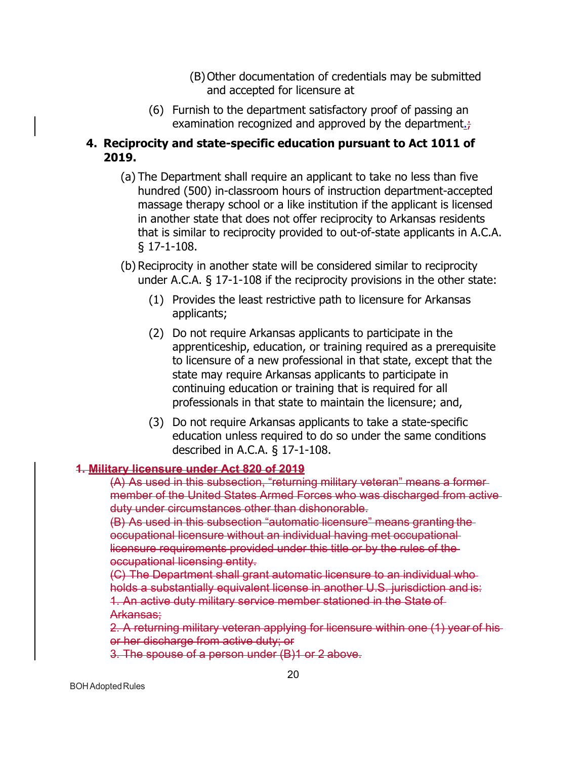- (B) Other documentation of credentials may be submitted and accepted for licensure at
- (6) Furnish to the department satisfactory proof of passing an examination recognized and approved by the department. $\div$

## **4. Reciprocity and state-specific education pursuant to Act 1011 of 2019.**

- (a) The Department shall require an applicant to take no less than five hundred (500) in-classroom hours of instruction department-accepted massage therapy school or a like institution if the applicant is licensed in another state that does not offer reciprocity to Arkansas residents that is similar to reciprocity provided to out-of-state applicants in A.C.A. § 17-1-108.
- (b) Reciprocity in another state will be considered similar to reciprocity under A.C.A. § 17-1-108 if the reciprocity provisions in the other state:
	- (1) Provides the least restrictive path to licensure for Arkansas applicants;
	- (2) Do not require Arkansas applicants to participate in the apprenticeship, education, or training required as a prerequisite to licensure of a new professional in that state, except that the state may require Arkansas applicants to participate in continuing education or training that is required for all professionals in that state to maintain the licensure; and,
	- (3) Do not require Arkansas applicants to take a state-specific education unless required to do so under the same conditions described in A.C.A. § 17-1-108.

## **1. Military licensure under Act 820 of 2019**

(A) As used in this subsection, "returning military veteran" means a former member of the United States Armed Forces who was discharged from active duty under circumstances other than dishonorable.

(B) As used in this subsection "automatic licensure" means granting the occupational licensure without an individual having met occupational licensure requirements provided under this title or by the rules of the occupational licensing entity.

(C) The Department shall grant automatic licensure to an individual who holds a substantially equivalent license in another U.S. jurisdiction and is: 1. An active duty military service member stationed in the State of Arkansas;

2. A returning military veteran applying for licensure within one (1) year of his or her discharge from active duty; or

3. The spouse of a person under (B)1 or 2 above.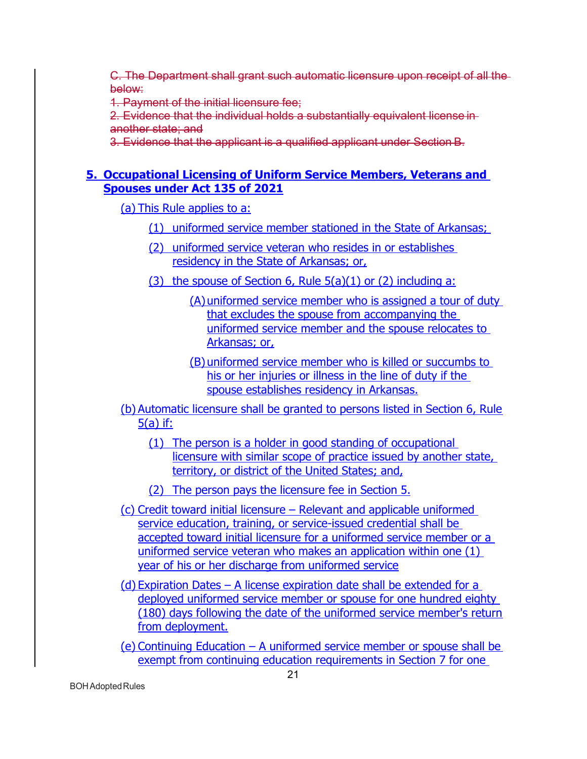C. The Department shall grant such automatic licensure upon receipt of all the below:

1. Payment of the initial licensure fee;

2. Evidence that the individual holds a substantially equivalent license in another state; and

3. Evidence that the applicant is a qualified applicant under Section B.

## **5. Occupational Licensing of Uniform Service Members, Veterans and Spouses under Act 135 of 2021**

(a) This Rule applies to a:

- (1) uniformed service member stationed in the State of Arkansas;
- (2) uniformed service veteran who resides in or establishes residency in the State of Arkansas; or,
- (3) the spouse of Section 6, Rule  $5(a)(1)$  or (2) including a:
	- (A)uniformed service member who is assigned a tour of duty that excludes the spouse from accompanying the uniformed service member and the spouse relocates to Arkansas; or,
	- (B) uniformed service member who is killed or succumbs to his or her injuries or illness in the line of duty if the spouse establishes residency in Arkansas.
- (b) Automatic licensure shall be granted to persons listed in Section 6, Rule 5(a) if:
	- (1) The person is a holder in good standing of occupational licensure with similar scope of practice issued by another state, territory, or district of the United States; and,

(2) The person pays the licensure fee in Section 5.

- (c) Credit toward initial licensure Relevant and applicable uniformed service education, training, or service-issued credential shall be accepted toward initial licensure for a uniformed service member or a uniformed service veteran who makes an application within one (1) year of his or her discharge from uniformed service
- (d) Expiration Dates A license expiration date shall be extended for a deployed uniformed service member or spouse for one hundred eighty (180) days following the date of the uniformed service member's return from deployment.
- (e) Continuing Education A uniformed service member or spouse shall be exempt from continuing education requirements in Section 7 for one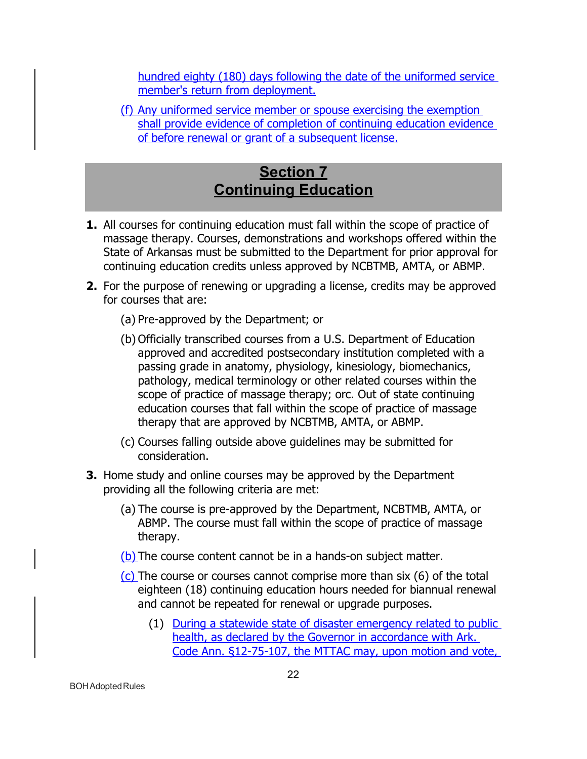hundred eighty (180) days following the date of the uniformed service member's return from deployment.

(f) Any uniformed service member or spouse exercising the exemption shall provide evidence of completion of continuing education evidence of before renewal or grant of a subsequent license.

# **Section 7 Continuing Education**

- <span id="page-21-0"></span>**1.** All courses for continuing education must fall within the scope of practice of massage therapy. Courses, demonstrations and workshops offered within the State of Arkansas must be submitted to the Department for prior approval for continuing education credits unless approved by NCBTMB, AMTA, or ABMP.
- **2.** For the purpose of renewing or upgrading a license, credits may be approved for courses that are:
	- (a) Pre-approved by the Department; or
	- (b) Officially transcribed courses from a U.S. Department of Education approved and accredited postsecondary institution completed with a passing grade in anatomy, physiology, kinesiology, biomechanics, pathology, medical terminology or other related courses within the scope of practice of massage therapy; orc. Out of state continuing education courses that fall within the scope of practice of massage therapy that are approved by NCBTMB, AMTA, or ABMP.
	- (c) Courses falling outside above guidelines may be submitted for consideration.
- **3.** Home study and online courses may be approved by the Department providing all the following criteria are met:
	- (a) The course is pre-approved by the Department, NCBTMB, AMTA, or ABMP. The course must fall within the scope of practice of massage therapy.
	- (b) The course content cannot be in a hands-on subject matter.
	- $(c)$  The course or courses cannot comprise more than six  $(6)$  of the total eighteen (18) continuing education hours needed for biannual renewal and cannot be repeated for renewal or upgrade purposes.
		- (1) During a statewide state of disaster emergency related to public health, as declared by the Governor in accordance with Ark. Code Ann. §12-75-107, the MTTAC may, upon motion and vote,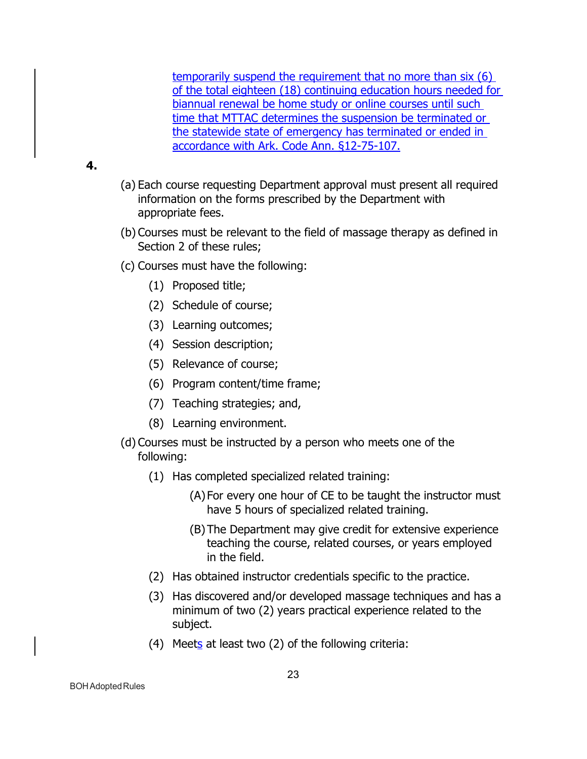temporarily suspend the requirement that no more than six (6) of the total eighteen (18) continuing education hours needed for biannual renewal be home study or online courses until such time that MTTAC determines the suspension be terminated or the statewide state of emergency has terminated or ended in accordance with Ark. Code Ann. §12-75-107.

#### **4.**

- (a) Each course requesting Department approval must present all required information on the forms prescribed by the Department with appropriate fees.
- (b) Courses must be relevant to the field of massage therapy as defined in Section 2 of these rules;
- (c) Courses must have the following:
	- (1) Proposed title;
	- (2) Schedule of course;
	- (3) Learning outcomes;
	- (4) Session description;
	- (5) Relevance of course;
	- (6) Program content/time frame;
	- (7) Teaching strategies; and,
	- (8) Learning environment.
- (d) Courses must be instructed by a person who meets one of the following:
	- (1) Has completed specialized related training:
		- (A) For every one hour of CE to be taught the instructor must have 5 hours of specialized related training.
		- (B) The Department may give credit for extensive experience teaching the course, related courses, or years employed in the field.
	- (2) Has obtained instructor credentials specific to the practice.
	- (3) Has discovered and/or developed massage techniques and has a minimum of two (2) years practical experience related to the subject.
	- (4) Meets at least two (2) of the following criteria: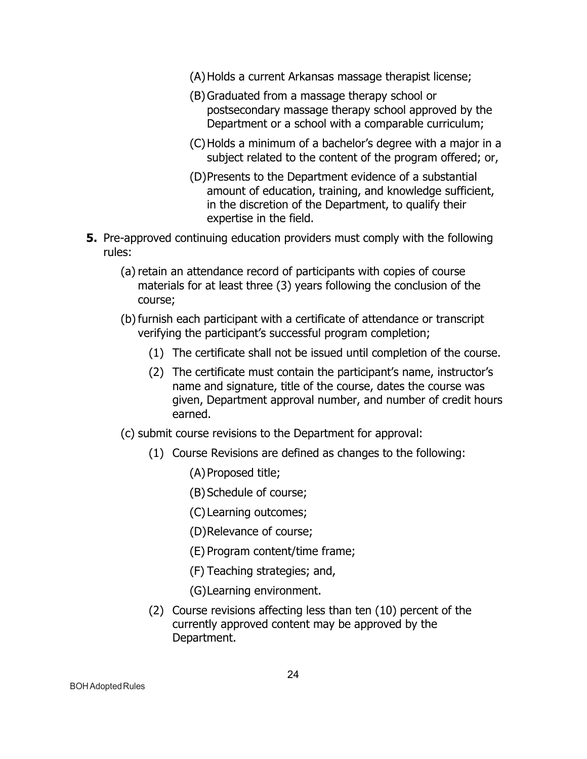- (A)Holds a current Arkansas massage therapist license;
- (B)Graduated from a massage therapy school or postsecondary massage therapy school approved by the Department or a school with a comparable curriculum;
- (C)Holds a minimum of a bachelor's degree with a major in a subject related to the content of the program offered; or,
- (D)Presents to the Department evidence of a substantial amount of education, training, and knowledge sufficient, in the discretion of the Department, to qualify their expertise in the field.
- **5.** Pre-approved continuing education providers must comply with the following rules:
	- (a) retain an attendance record of participants with copies of course materials for at least three (3) years following the conclusion of the course;
	- (b) furnish each participant with a certificate of attendance or transcript verifying the participant's successful program completion;
		- (1) The certificate shall not be issued until completion of the course.
		- (2) The certificate must contain the participant's name, instructor's name and signature, title of the course, dates the course was given, Department approval number, and number of credit hours earned.
	- (c) submit course revisions to the Department for approval:
		- (1) Course Revisions are defined as changes to the following:
			- (A)Proposed title;
			- (B) Schedule of course;
			- (C) Learning outcomes;
			- (D)Relevance of course;
			- (E) Program content/time frame;
			- (F) Teaching strategies; and,
			- (G)Learning environment.
		- (2) Course revisions affecting less than ten (10) percent of the currently approved content may be approved by the Department.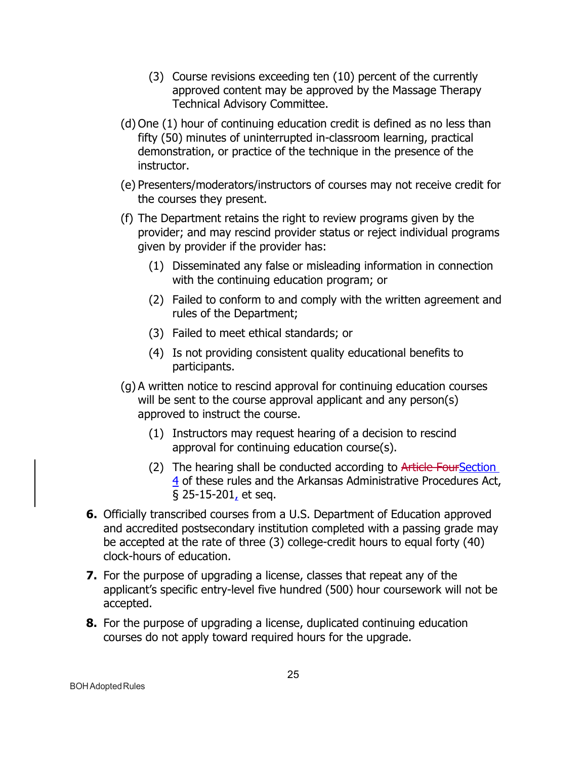- (3) Course revisions exceeding ten (10) percent of the currently approved content may be approved by the Massage Therapy Technical Advisory Committee.
- (d) One (1) hour of continuing education credit is defined as no less than fifty (50) minutes of uninterrupted in-classroom learning, practical demonstration, or practice of the technique in the presence of the instructor.
- (e) Presenters/moderators/instructors of courses may not receive credit for the courses they present.
- (f) The Department retains the right to review programs given by the provider; and may rescind provider status or reject individual programs given by provider if the provider has:
	- (1) Disseminated any false or misleading information in connection with the continuing education program; or
	- (2) Failed to conform to and comply with the written agreement and rules of the Department;
	- (3) Failed to meet ethical standards; or
	- (4) Is not providing consistent quality educational benefits to participants.
- (g) A written notice to rescind approval for continuing education courses will be sent to the course approval applicant and any person(s) approved to instruct the course.
	- (1) Instructors may request hearing of a decision to rescind approval for continuing education course(s).
	- (2) The hearing shall be conducted according to Article FourSection 4 of these rules and the Arkansas Administrative Procedures Act, § 25-15-201, et seq.
- **6.** Officially transcribed courses from a U.S. Department of Education approved and accredited postsecondary institution completed with a passing grade may be accepted at the rate of three (3) college-credit hours to equal forty (40) clock-hours of education.
- **7.** For the purpose of upgrading a license, classes that repeat any of the applicant's specific entry-level five hundred (500) hour coursework will not be accepted.
- **8.** For the purpose of upgrading a license, duplicated continuing education courses do not apply toward required hours for the upgrade.

BOHAdoptedRules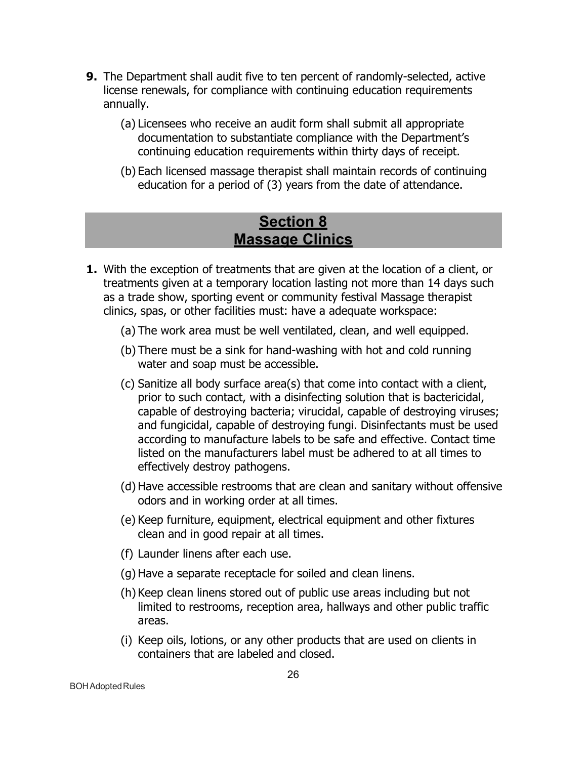- **9.** The Department shall audit five to ten percent of randomly-selected, active license renewals, for compliance with continuing education requirements annually.
	- (a) Licensees who receive an audit form shall submit all appropriate documentation to substantiate compliance with the Department's continuing education requirements within thirty days of receipt.
	- (b) Each licensed massage therapist shall maintain records of continuing education for a period of (3) years from the date of attendance.

## **Section 8 Massage Clinics**

- <span id="page-25-0"></span>**1.** With the exception of treatments that are given at the location of a client, or treatments given at a temporary location lasting not more than 14 days such as a trade show, sporting event or community festival Massage therapist clinics, spas, or other facilities must: have a adequate workspace:
	- (a) The work area must be well ventilated, clean, and well equipped.
	- (b) There must be a sink for hand-washing with hot and cold running water and soap must be accessible.
	- (c) Sanitize all body surface area(s) that come into contact with a client, prior to such contact, with a disinfecting solution that is bactericidal, capable of destroying bacteria; virucidal, capable of destroying viruses; and fungicidal, capable of destroying fungi. Disinfectants must be used according to manufacture labels to be safe and effective. Contact time listed on the manufacturers label must be adhered to at all times to effectively destroy pathogens.
	- (d) Have accessible restrooms that are clean and sanitary without offensive odors and in working order at all times.
	- (e) Keep furniture, equipment, electrical equipment and other fixtures clean and in good repair at all times.
	- (f) Launder linens after each use.
	- (g) Have a separate receptacle for soiled and clean linens.
	- (h) Keep clean linens stored out of public use areas including but not limited to restrooms, reception area, hallways and other public traffic areas.
	- (i) Keep oils, lotions, or any other products that are used on clients in containers that are labeled and closed.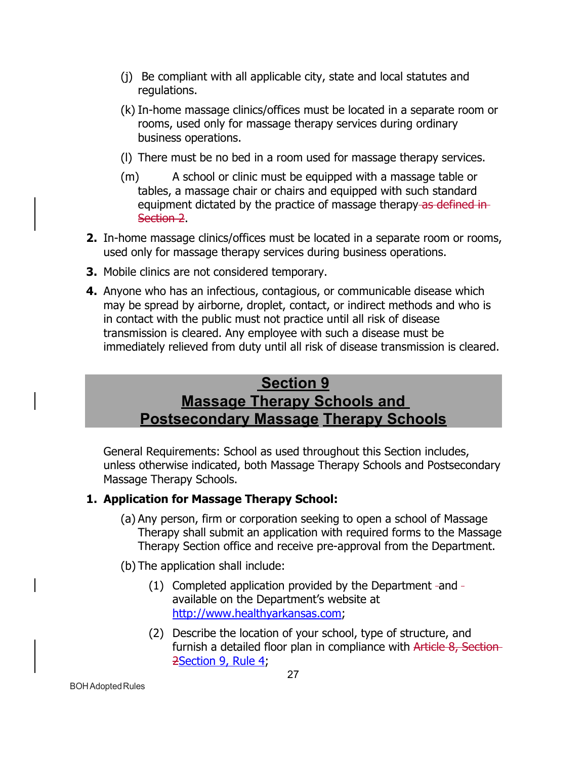- (j) Be compliant with all applicable city, state and local statutes and regulations.
- (k) In-home massage clinics/offices must be located in a separate room or rooms, used only for massage therapy services during ordinary business operations.
- (l) There must be no bed in a room used for massage therapy services.
- (m) A school or clinic must be equipped with a massage table or tables, a massage chair or chairs and equipped with such standard equipment dictated by the practice of massage therapy as defined in-Section 2.
- **2.** In-home massage clinics/offices must be located in a separate room or rooms, used only for massage therapy services during business operations.
- **3.** Mobile clinics are not considered temporary.
- **4.** Anyone who has an infectious, contagious, or communicable disease which may be spread by airborne, droplet, contact, or indirect methods and who is in contact with the public must not practice until all risk of disease transmission is cleared. Any employee with such a disease must be immediately relieved from duty until all risk of disease transmission is cleared.

# **Section 9 Massage Therapy Schools and Postsecondary Massage Therapy Schools**

General Requirements: School as used throughout this Section includes, unless otherwise indicated, both Massage Therapy Schools and Postsecondary Massage Therapy Schools.

## <span id="page-26-0"></span>**1. Application for Massage Therapy School:**

- (a) Any person, firm or corporation seeking to open a school of Massage Therapy shall submit an application with required forms to the Massage Therapy Section office and receive pre-approval from the Department.
- (b) The application shall include:
	- (1) Completed application provided by the Department -and available on the Department's website at [http://www.healthyarkansas.com;](http://www.healthyarkansas.com/)
	- (2) Describe the location of your school, type of structure, and furnish a detailed floor plan in compliance with Article 8, Section-2Section 9, Rule 4;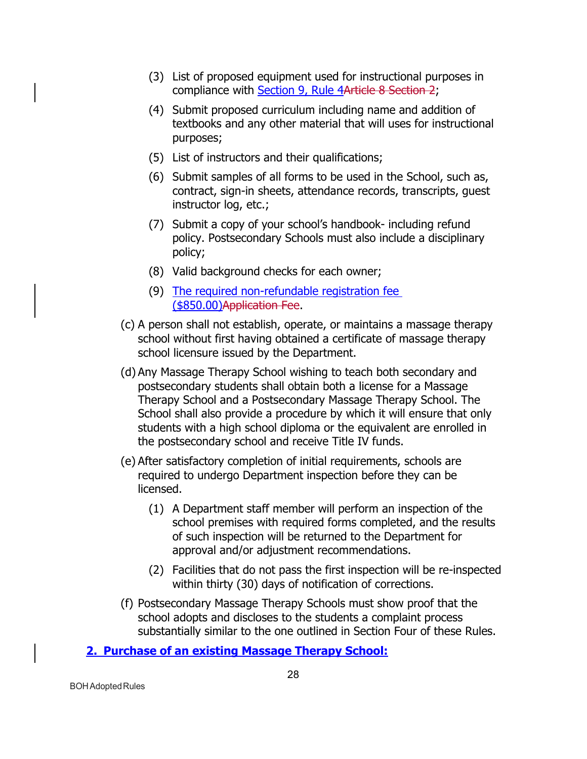- (3) List of proposed equipment used for instructional purposes in compliance with Section 9, Rule 4Article 8 Section 2;
- (4) Submit proposed curriculum including name and addition of textbooks and any other material that will uses for instructional purposes;
- (5) List of instructors and their qualifications;
- (6) Submit samples of all forms to be used in the School, such as, contract, sign-in sheets, attendance records, transcripts, guest instructor log, etc.;
- (7) Submit a copy of your school's handbook- including refund policy. Postsecondary Schools must also include a disciplinary policy;
- (8) Valid background checks for each owner;
- (9) The required non-refundable registration fee (\$850.00)Application Fee.
- (c) A person shall not establish, operate, or maintains a massage therapy school without first having obtained a certificate of massage therapy school licensure issued by the Department.
- (d) Any Massage Therapy School wishing to teach both secondary and postsecondary students shall obtain both a license for a Massage Therapy School and a Postsecondary Massage Therapy School. The School shall also provide a procedure by which it will ensure that only students with a high school diploma or the equivalent are enrolled in the postsecondary school and receive Title IV funds.
- (e) After satisfactory completion of initial requirements, schools are required to undergo Department inspection before they can be licensed.
	- (1) A Department staff member will perform an inspection of the school premises with required forms completed, and the results of such inspection will be returned to the Department for approval and/or adjustment recommendations.
	- (2) Facilities that do not pass the first inspection will be re-inspected within thirty (30) days of notification of corrections.
- (f) Postsecondary Massage Therapy Schools must show proof that the school adopts and discloses to the students a complaint process substantially similar to the one outlined in Section Four of these Rules.

**2. Purchase of an existing Massage Therapy School:**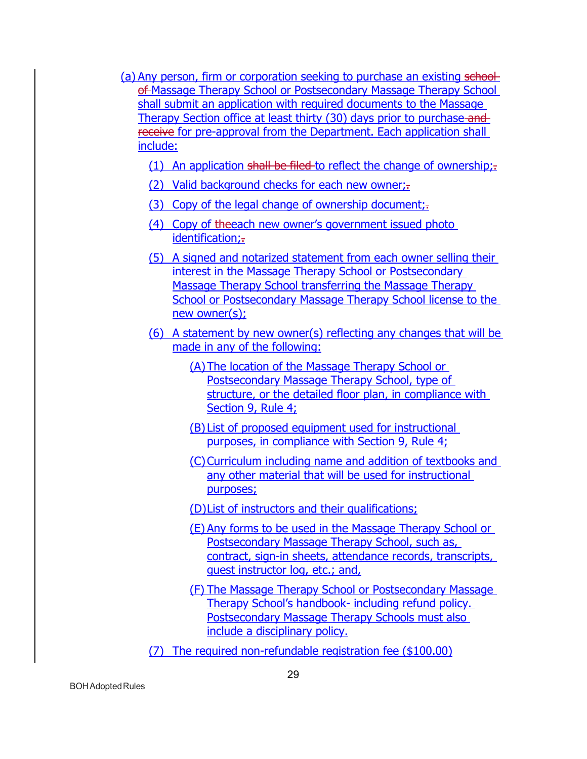- (a) Any person, firm or corporation seeking to purchase an existing schoolof Massage Therapy School or Postsecondary Massage Therapy School shall submit an application with required documents to the Massage Therapy Section office at least thirty (30) days prior to purchase and receive for pre-approval from the Department. Each application shall include:
	- (1) An application shall be filed to reflect the change of ownership; $\frac{1}{2}$ .
	- (2) Valid background checks for each new owner;.
	- (3) Copy of the legal change of ownership document;-
	- (4) Copy of theeach new owner's government issued photo identification;-
	- (5) A signed and notarized statement from each owner selling their interest in the Massage Therapy School or Postsecondary Massage Therapy School transferring the Massage Therapy School or Postsecondary Massage Therapy School license to the new owner(s);
	- (6) A statement by new owner(s) reflecting any changes that will be made in any of the following:
		- (A)The location of the Massage Therapy School or Postsecondary Massage Therapy School, type of structure, or the detailed floor plan, in compliance with Section 9, Rule 4;
		- (B) List of proposed equipment used for instructional purposes, in compliance with Section 9, Rule 4;
		- (C)Curriculum including name and addition of textbooks and any other material that will be used for instructional purposes;
		- (D)List of instructors and their qualifications;
		- (E) Any forms to be used in the Massage Therapy School or Postsecondary Massage Therapy School, such as, contract, sign-in sheets, attendance records, transcripts, guest instructor log, etc.; and,
		- (F) The Massage Therapy School or Postsecondary Massage Therapy School's handbook- including refund policy. Postsecondary Massage Therapy Schools must also include a disciplinary policy.
	- (7) The required non-refundable registration fee (\$100.00)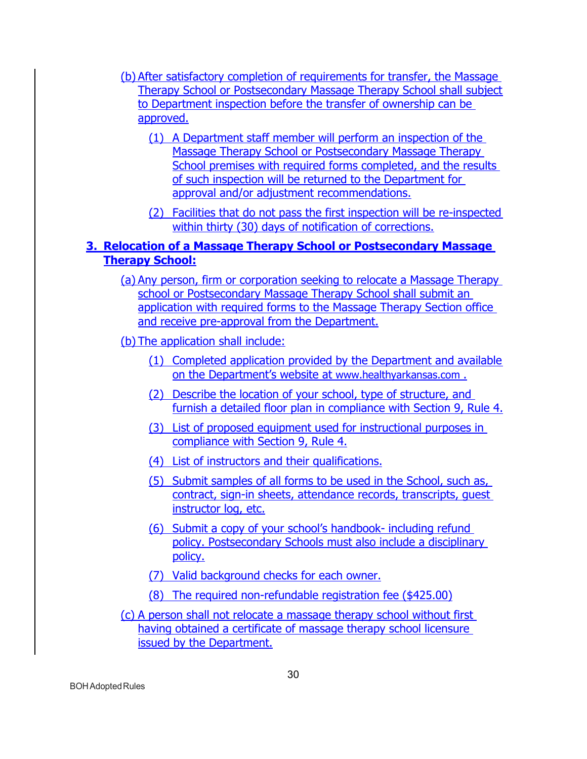- (b) After satisfactory completion of requirements for transfer, the Massage Therapy School or Postsecondary Massage Therapy School shall subject to Department inspection before the transfer of ownership can be approved.
	- (1) A Department staff member will perform an inspection of the Massage Therapy School or Postsecondary Massage Therapy School premises with required forms completed, and the results of such inspection will be returned to the Department for approval and/or adjustment recommendations.
	- (2) Facilities that do not pass the first inspection will be re-inspected within thirty (30) days of notification of corrections.

## **3. Relocation of a Massage Therapy School or Postsecondary Massage Therapy School:**

(a) Any person, firm or corporation seeking to relocate a Massage Therapy school or Postsecondary Massage Therapy School shall submit an application with required forms to the Massage Therapy Section office and receive pre-approval from the Department.

(b) The application shall include:

- (1) Completed application provided by the Department and available on the Department's website at [www.healthyarkansas.com .](http://www.healthy.arkansas.com/)
- (2) Describe the location of your school, type of structure, and furnish a detailed floor plan in compliance with Section 9, Rule 4.
- (3) List of proposed equipment used for instructional purposes in compliance with Section 9, Rule 4.
- (4) List of instructors and their qualifications.
- (5) Submit samples of all forms to be used in the School, such as, contract, sign-in sheets, attendance records, transcripts, guest instructor log, etc.
- (6) Submit a copy of your school's handbook- including refund policy. Postsecondary Schools must also include a disciplinary policy.
- (7) Valid background checks for each owner.
- (8) The required non-refundable registration fee (\$425.00)
- (c) A person shall not relocate a massage therapy school without first having obtained a certificate of massage therapy school licensure issued by the Department.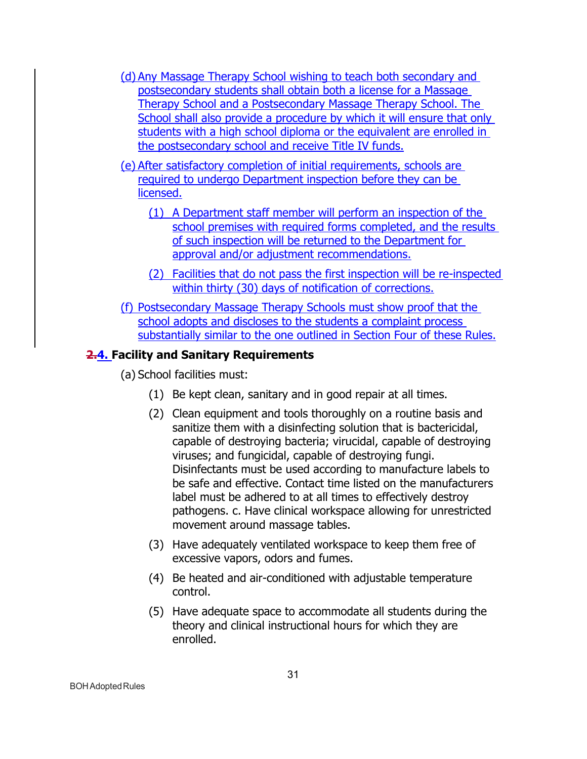- (d) Any Massage Therapy School wishing to teach both secondary and postsecondary students shall obtain both a license for a Massage Therapy School and a Postsecondary Massage Therapy School. The School shall also provide a procedure by which it will ensure that only students with a high school diploma or the equivalent are enrolled in the postsecondary school and receive Title IV funds.
- (e) After satisfactory completion of initial requirements, schools are required to undergo Department inspection before they can be licensed.
	- (1) A Department staff member will perform an inspection of the school premises with required forms completed, and the results of such inspection will be returned to the Department for approval and/or adjustment recommendations.
	- (2) Facilities that do not pass the first inspection will be re-inspected within thirty (30) days of notification of corrections.
- (f) Postsecondary Massage Therapy Schools must show proof that the school adopts and discloses to the students a complaint process substantially similar to the one outlined in Section Four of these Rules.

#### **2.4. Facility and Sanitary Requirements**

- (a) School facilities must:
	- (1) Be kept clean, sanitary and in good repair at all times.
	- (2) Clean equipment and tools thoroughly on a routine basis and sanitize them with a disinfecting solution that is bactericidal, capable of destroying bacteria; virucidal, capable of destroying viruses; and fungicidal, capable of destroying fungi. Disinfectants must be used according to manufacture labels to be safe and effective. Contact time listed on the manufacturers label must be adhered to at all times to effectively destroy pathogens. c. Have clinical workspace allowing for unrestricted movement around massage tables.
	- (3) Have adequately ventilated workspace to keep them free of excessive vapors, odors and fumes.
	- (4) Be heated and air-conditioned with adjustable temperature control.
	- (5) Have adequate space to accommodate all students during the theory and clinical instructional hours for which they are enrolled.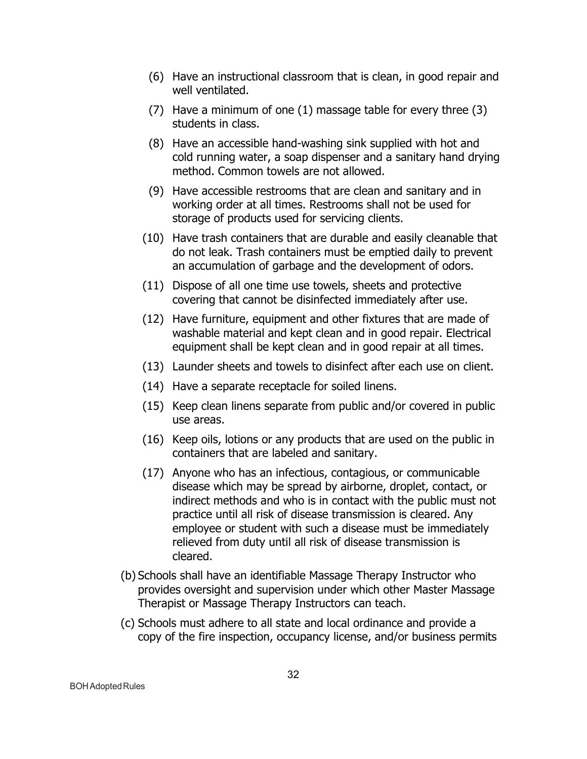- (6) Have an instructional classroom that is clean, in good repair and well ventilated.
- (7) Have a minimum of one (1) massage table for every three (3) students in class.
- (8) Have an accessible hand-washing sink supplied with hot and cold running water, a soap dispenser and a sanitary hand drying method. Common towels are not allowed.
- (9) Have accessible restrooms that are clean and sanitary and in working order at all times. Restrooms shall not be used for storage of products used for servicing clients.
- (10) Have trash containers that are durable and easily cleanable that do not leak. Trash containers must be emptied daily to prevent an accumulation of garbage and the development of odors.
- (11) Dispose of all one time use towels, sheets and protective covering that cannot be disinfected immediately after use.
- (12) Have furniture, equipment and other fixtures that are made of washable material and kept clean and in good repair. Electrical equipment shall be kept clean and in good repair at all times.
- (13) Launder sheets and towels to disinfect after each use on client.
- (14) Have a separate receptacle for soiled linens.
- (15) Keep clean linens separate from public and/or covered in public use areas.
- (16) Keep oils, lotions or any products that are used on the public in containers that are labeled and sanitary.
- (17) Anyone who has an infectious, contagious, or communicable disease which may be spread by airborne, droplet, contact, or indirect methods and who is in contact with the public must not practice until all risk of disease transmission is cleared. Any employee or student with such a disease must be immediately relieved from duty until all risk of disease transmission is cleared.
- (b) Schools shall have an identifiable Massage Therapy Instructor who provides oversight and supervision under which other Master Massage Therapist or Massage Therapy Instructors can teach.
- (c) Schools must adhere to all state and local ordinance and provide a copy of the fire inspection, occupancy license, and/or business permits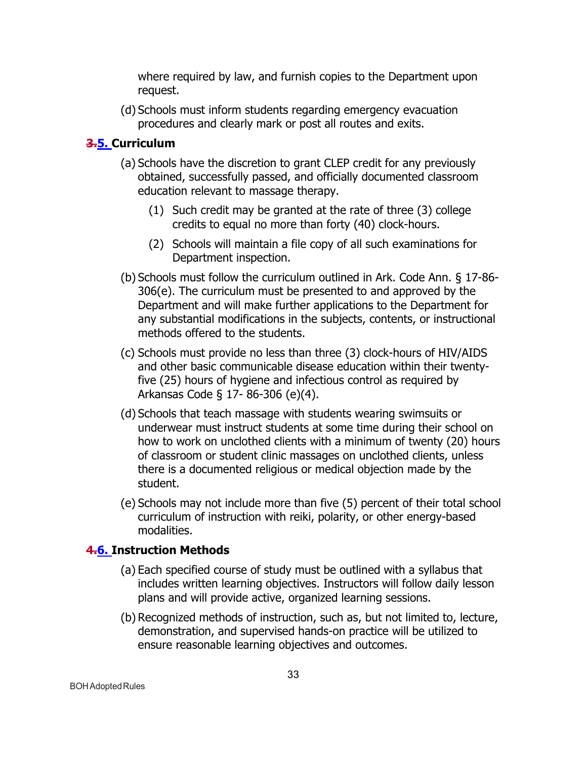where required by law, and furnish copies to the Department upon request.

(d) Schools must inform students regarding emergency evacuation procedures and clearly mark or post all routes and exits.

## **3.5. Curriculum**

- (a) Schools have the discretion to grant CLEP credit for any previously obtained, successfully passed, and officially documented classroom education relevant to massage therapy.
	- (1) Such credit may be granted at the rate of three (3) college credits to equal no more than forty (40) clock-hours.
	- (2) Schools will maintain a file copy of all such examinations for Department inspection.
- (b) Schools must follow the curriculum outlined in Ark. Code Ann. § 17-86- 306(e). The curriculum must be presented to and approved by the Department and will make further applications to the Department for any substantial modifications in the subjects, contents, or instructional methods offered to the students.
- (c) Schools must provide no less than three (3) clock-hours of HIV/AIDS and other basic communicable disease education within their twentyfive (25) hours of hygiene and infectious control as required by Arkansas Code § 17- 86-306 (e)(4).
- (d) Schools that teach massage with students wearing swimsuits or underwear must instruct students at some time during their school on how to work on unclothed clients with a minimum of twenty (20) hours of classroom or student clinic massages on unclothed clients, unless there is a documented religious or medical objection made by the student.
- (e) Schools may not include more than five (5) percent of their total school curriculum of instruction with reiki, polarity, or other energy-based modalities.

## **4.6. Instruction Methods**

- (a) Each specified course of study must be outlined with a syllabus that includes written learning objectives. Instructors will follow daily lesson plans and will provide active, organized learning sessions.
- (b) Recognized methods of instruction, such as, but not limited to, lecture, demonstration, and supervised hands-on practice will be utilized to ensure reasonable learning objectives and outcomes.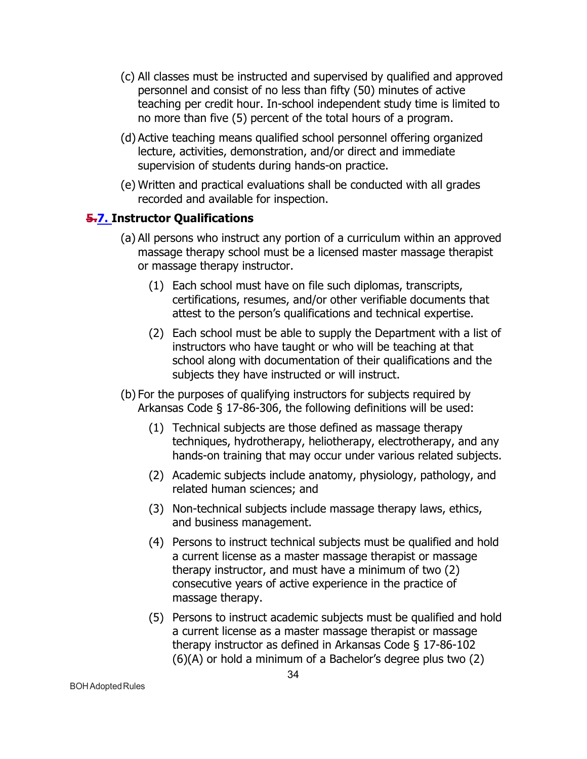- (c) All classes must be instructed and supervised by qualified and approved personnel and consist of no less than fifty (50) minutes of active teaching per credit hour. In-school independent study time is limited to no more than five (5) percent of the total hours of a program.
- (d) Active teaching means qualified school personnel offering organized lecture, activities, demonstration, and/or direct and immediate supervision of students during hands-on practice.
- (e) Written and practical evaluations shall be conducted with all grades recorded and available for inspection.

## **5.7. Instructor Qualifications**

- (a) All persons who instruct any portion of a curriculum within an approved massage therapy school must be a licensed master massage therapist or massage therapy instructor.
	- (1) Each school must have on file such diplomas, transcripts, certifications, resumes, and/or other verifiable documents that attest to the person's qualifications and technical expertise.
	- (2) Each school must be able to supply the Department with a list of instructors who have taught or who will be teaching at that school along with documentation of their qualifications and the subjects they have instructed or will instruct.
- (b) For the purposes of qualifying instructors for subjects required by Arkansas Code § 17-86-306, the following definitions will be used:
	- (1) Technical subjects are those defined as massage therapy techniques, hydrotherapy, heliotherapy, electrotherapy, and any hands-on training that may occur under various related subjects.
	- (2) Academic subjects include anatomy, physiology, pathology, and related human sciences; and
	- (3) Non-technical subjects include massage therapy laws, ethics, and business management.
	- (4) Persons to instruct technical subjects must be qualified and hold a current license as a master massage therapist or massage therapy instructor, and must have a minimum of two (2) consecutive years of active experience in the practice of massage therapy.
	- (5) Persons to instruct academic subjects must be qualified and hold a current license as a master massage therapist or massage therapy instructor as defined in Arkansas Code § 17-86-102 (6)(A) or hold a minimum of a Bachelor's degree plus two (2)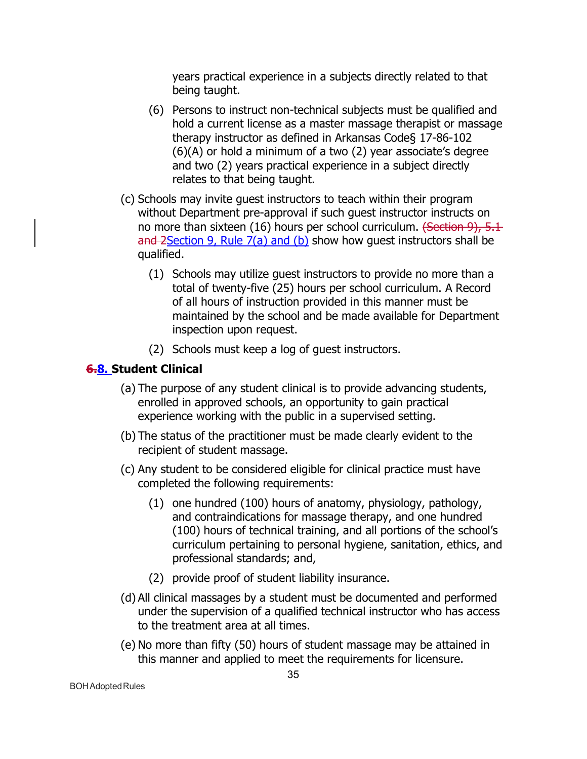years practical experience in a subjects directly related to that being taught.

- (6) Persons to instruct non-technical subjects must be qualified and hold a current license as a master massage therapist or massage therapy instructor as defined in Arkansas Code§ 17-86-102 (6)(A) or hold a minimum of a two (2) year associate's degree and two (2) years practical experience in a subject directly relates to that being taught.
- (c) Schools may invite guest instructors to teach within their program without Department pre-approval if such guest instructor instructs on no more than sixteen (16) hours per school curriculum. (Section 9), 5.1 and 2Section 9, Rule  $7(a)$  and (b) show how quest instructors shall be qualified.
	- (1) Schools may utilize guest instructors to provide no more than a total of twenty-five (25) hours per school curriculum. A Record of all hours of instruction provided in this manner must be maintained by the school and be made available for Department inspection upon request.
	- (2) Schools must keep a log of guest instructors.

## **6.8. Student Clinical**

- (a) The purpose of any student clinical is to provide advancing students, enrolled in approved schools, an opportunity to gain practical experience working with the public in a supervised setting.
- (b) The status of the practitioner must be made clearly evident to the recipient of student massage.
- (c) Any student to be considered eligible for clinical practice must have completed the following requirements:
	- (1) one hundred (100) hours of anatomy, physiology, pathology, and contraindications for massage therapy, and one hundred (100) hours of technical training, and all portions of the school's curriculum pertaining to personal hygiene, sanitation, ethics, and professional standards; and,
	- (2) provide proof of student liability insurance.
- (d) All clinical massages by a student must be documented and performed under the supervision of a qualified technical instructor who has access to the treatment area at all times.
- (e) No more than fifty (50) hours of student massage may be attained in this manner and applied to meet the requirements for licensure.

BOHAdoptedRules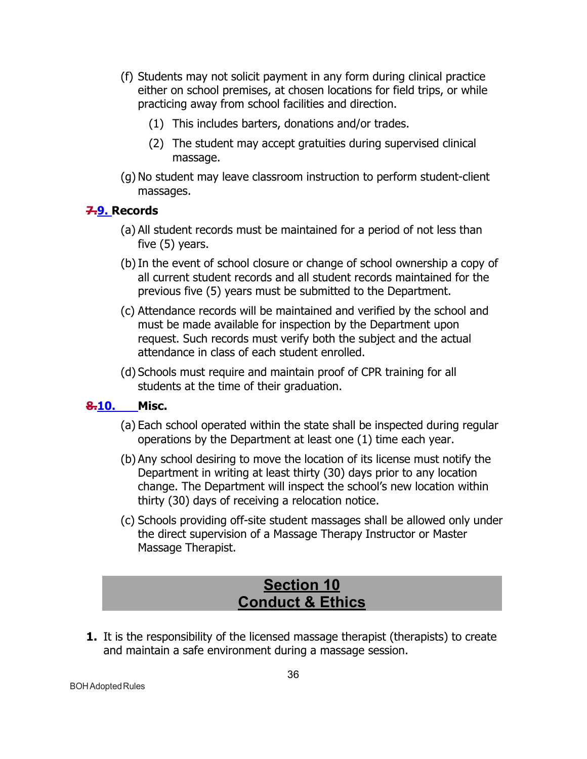- (f) Students may not solicit payment in any form during clinical practice either on school premises, at chosen locations for field trips, or while practicing away from school facilities and direction.
	- (1) This includes barters, donations and/or trades.
	- (2) The student may accept gratuities during supervised clinical massage.
- (g) No student may leave classroom instruction to perform student-client massages.

## **7.9. Records**

- (a) All student records must be maintained for a period of not less than five (5) years.
- (b)In the event of school closure or change of school ownership a copy of all current student records and all student records maintained for the previous five (5) years must be submitted to the Department.
- (c) Attendance records will be maintained and verified by the school and must be made available for inspection by the Department upon request. Such records must verify both the subject and the actual attendance in class of each student enrolled.
- (d) Schools must require and maintain proof of CPR training for all students at the time of their graduation.

## **8.10. Misc.**

- (a) Each school operated within the state shall be inspected during regular operations by the Department at least one (1) time each year.
- (b) Any school desiring to move the location of its license must notify the Department in writing at least thirty (30) days prior to any location change. The Department will inspect the school's new location within thirty (30) days of receiving a relocation notice.
- (c) Schools providing off-site student massages shall be allowed only under the direct supervision of a Massage Therapy Instructor or Master Massage Therapist.

# **Section 10 Conduct & Ethics**

<span id="page-35-0"></span>**1.** It is the responsibility of the licensed massage therapist (therapists) to create and maintain a safe environment during a massage session.

**BOH** Adopted Rules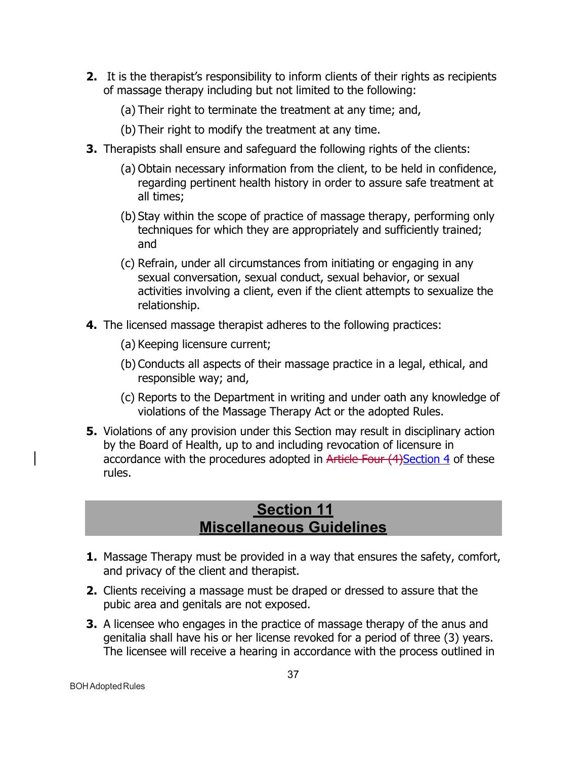- **2.** It is the therapist's responsibility to inform clients of their rights as recipients of massage therapy including but not limited to the following:
	- (a) Their right to terminate the treatment at any time; and,
	- (b) Their right to modify the treatment at any time.
- **3.** Therapists shall ensure and safeguard the following rights of the clients:
	- (a) Obtain necessary information from the client, to be held in confidence, regarding pertinent health history in order to assure safe treatment at all times;
	- (b) Stay within the scope of practice of massage therapy, performing only techniques for which they are appropriately and sufficiently trained; and
	- (c) Refrain, under all circumstances from initiating or engaging in any sexual conversation, sexual conduct, sexual behavior, or sexual activities involving a client, even if the client attempts to sexualize the relationship.
- **4.** The licensed massage therapist adheres to the following practices:
	- (a) Keeping licensure current;
	- (b) Conducts all aspects of their massage practice in a legal, ethical, and responsible way; and,
	- (c) Reports to the Department in writing and under oath any knowledge of violations of the Massage Therapy Act or the adopted Rules.
- **5.** Violations of any provision under this Section may result in disciplinary action by the Board of Health, up to and including revocation of licensure in accordance with the procedures adopted in Article Four (4) Section 4 of these rules.

# **Section 11 Miscellaneous Guidelines**

- <span id="page-36-0"></span>**1.** Massage Therapy must be provided in a way that ensures the safety, comfort, and privacy of the client and therapist.
- **2.** Clients receiving a massage must be draped or dressed to assure that the pubic area and genitals are not exposed.
- **3.** A licensee who engages in the practice of massage therapy of the anus and genitalia shall have his or her license revoked for a period of three (3) years. The licensee will receive a hearing in accordance with the process outlined in

**BOH** Adopted Rules